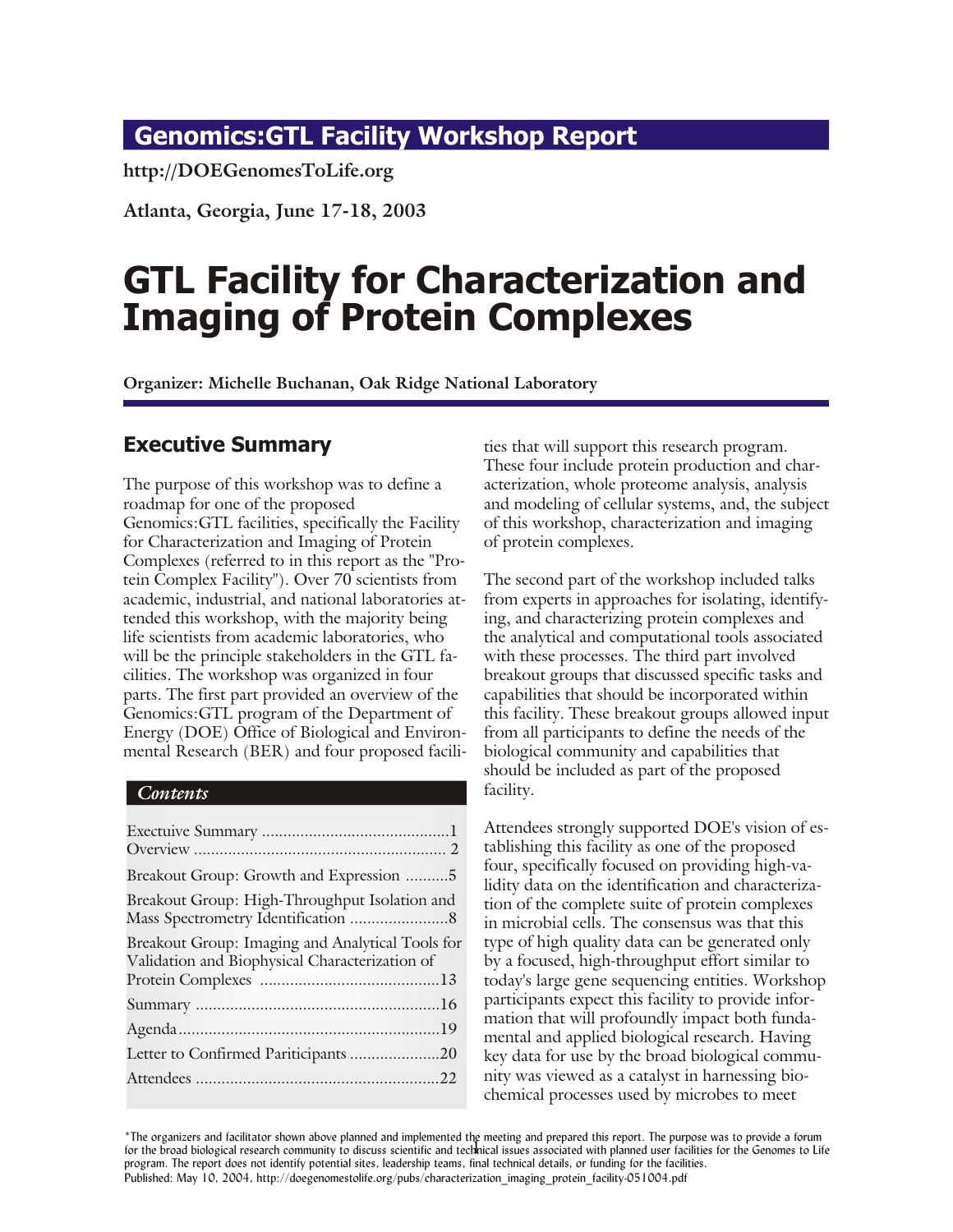## <span id="page-0-0"></span>**Genomics:GTL Facility Workshop Report**

**http://DOEGenomesToLife.org**

**At lanta, Geor gia, June 17-18, 2003**

# **GTL Facility for Characterization and Imaging of Protein Complexes**

**Organizer: Michelle Buchanan, Oak Ridge National Laboratory** 

#### **Executive Summary**

The purpose of this workshop was to define a roadmap for one of the proposed Genomics: GTL facilities, specifically the Facility for Characterization and Imaging of Protein Complexes (referred to in this report as the "Protein Complex Facility"). Over 70 scientists from academic, industrial, and national laboratories attended this workshop, with the majority being life scientists from academic laboratories, who will be the principle stake holders in the GTL facilities. The workshop was organized in four parts. The first part provided an overview of the Genomics: GTL program of the Department of Energy (DOE) Office of Biological and Environmental Research (BER) and four proposed facili-

#### *Contents*

| Breakout Group: Growth and Expression 5                                                            |  |
|----------------------------------------------------------------------------------------------------|--|
| Breakout Group: High-Throughput Isolation and                                                      |  |
| Breakout Group: Imaging and Analytical Tools for<br>Validation and Biophysical Characterization of |  |
|                                                                                                    |  |
|                                                                                                    |  |
| Letter to Confirmed Pariticipants 20                                                               |  |
|                                                                                                    |  |
|                                                                                                    |  |

ties that will support this research program. These four include protein production and characterization, whole proteome analysis, analysis and modeling of cellular systems, and, the subject of this workshop, characterization and imaging of protein complexes.

The second part of the workshop included talks from experts in approaches for isolating, identifying, and characterizing protein complexes and the analytical and computational tools associated with these processes. The third part involved breakout groups that discussed specific tasks and capabilities that should be incorporated within this facility. These breakout groups allowed input from all participants to define the needs of the biological community and capabilities that should be included as part of the proposed facility.

Atten dees strongly supported DOE's vision of establishing this facility as one of the proposed four, specifically focused on providing high-validity data on the identification and characterization of the complete suite of protein complexes in microbial cells. The consensus was that this type of high quality data can be generated only by a focused, high-throughput effort similar to today's large gene sequencing entities. Workshop participants expect this facility to provide information that will profoundly impact both fundamental and applied biological research. Having key data for use by the broad biological community was viewed as a catalyst in harnessing biochemical processes used by microbes to meet

For the broad biological research community to discuss scientific and technical issues associated with planned user facilities for the Genomes to Life \*The organizers and facilitator shown above planned and implemented the meeting and prepared this report. The purpose was to provide a forum program. The report does not identify potential sites, leadership teams, final technical details, or funding for the facilities. Published: May 10, 2004, http://doegenomestolife.org/pubs/characterization\_imaging\_protein\_facility-051004.pdf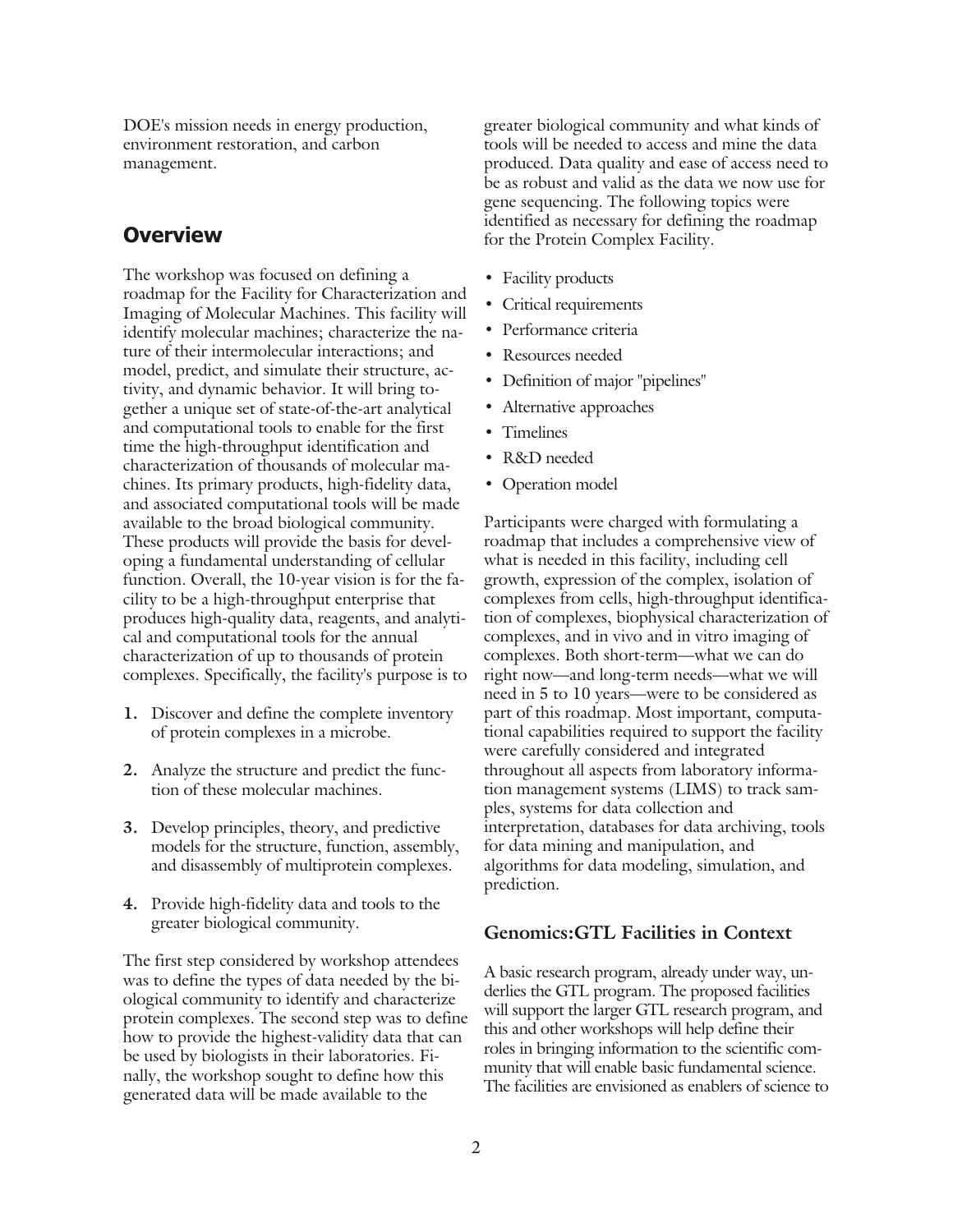<span id="page-1-0"></span>DOE's mission needs in energy production, environment restoration, and carbon management.

#### **Overview**

The workshop was focused on defining a roadmap for the Facility for Characterization and Imaging of Molecular Machines. This facility will identify molecular machines; characterize the nature of their intermolecular interactions; and model, predict, and simulate their structure, activity, and dynamic behavior. It will bring together a unique set of state-of-the-art analytical and computational tools to enable for the first time the high-throughput identification and characterization of thousands of molecular machines. Its primary products, high-fidelity data, and associated computational tools will be made available to the broad biological community. These products will provide the basis for developing a fundamental understanding of cellular function. Overall, the 10-year vision is for the facility to be a high-throughput enterprise that produces high-quality data, reagents, and analytical and computational tools for the annual characterization of up to thousands of protein complexes. Specifically, the facility's purpose is to

- **1.** Discover and define the complete inventory of protein complexes in a microbe.
- **2.** Analyze the structure and predict the function of these molecular machines.
- **3.** Develop principles, theory, and predictive models for the structure, function, assembly, and disassembly of multiprotein complexes.
- **4.** Provide high-fidelity data and tools to the greater biological community.

The first step considered by work shop attendees was to define the types of data needed by the biological community to identify and characterize protein complexes. The second step was to define how to provide the highest-validity data that can be used by biologists in their laboratories. Finally, the workshop sought to define how this generated data will be made available to the

greater biological community and what kinds of tools will be needed to access and mine the data produced. Data quality and ease of access need to be as robust and valid as the data we now use for gene sequencing. The following topics were identified as necessary for defining the roadmap for the Protein Complex Facility.

- Facility products
- Critical requirements
- Performance criteria
- **•** Resources needed
- Definition of major "pipelines"
- Alternative approaches
- **•** Timelines
- **•** R&D needed
- Operation model

Participants were charged with formulating a roadmap that includes a comprehensive view of what is needed in this facility, including cell growth, expression of the complex, isolation of complexes from cells, high-throughput identification of complexes, biophysical characterization of complexes, and in vivo and in vitro imaging of complexes. Both short-term—what we can do right now—and long-term needs—what we will need in 5 to 10 years—were to be considered as part of this roadmap. Most important, computational capabilities required to support the facility were carefully considered and integrated throughout all aspects from laboratory information management systems (LIMS) to track samples, systems for data collection and interpretation, databases for data archiving, tools for data mining and manipulation, and algorithms for data modeling, simulation, and prediction.

#### **Genomics:GTL Facilities in Context**

A basic research program, already under way, underlies the GTL program. The proposed facilities will support the larger GTL research program, and this and other workshops will help define their roles in bringing information to the scientific community that will enable basic fundamental science. The facilities are envisioned as enablers of science to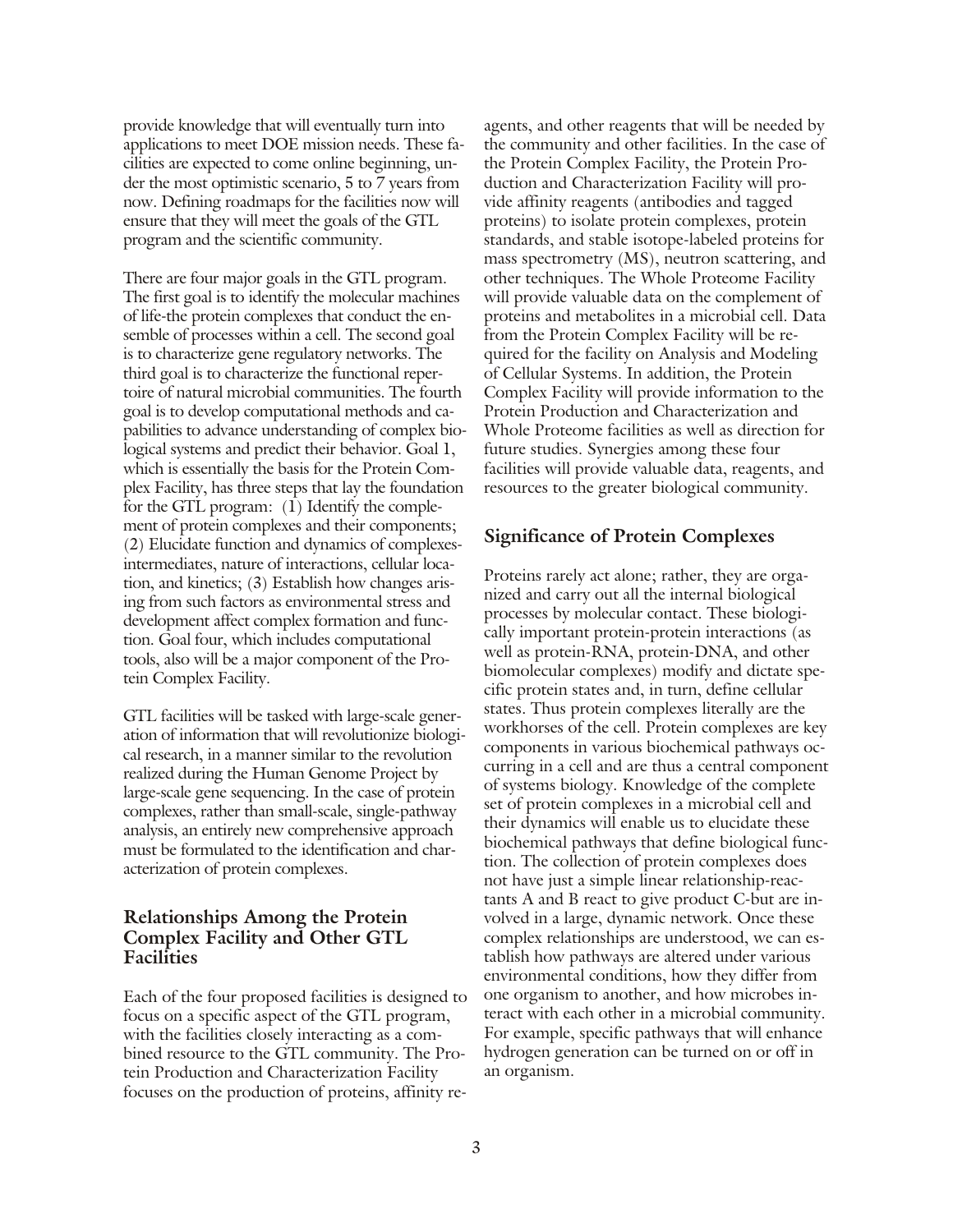provide knowledge that will eventually turn into applications to meet DOE mission needs. These facilities are expected to come online beginning, under the most optimistic scenario,  $5$  to  $7$  years from now. Defining roadmaps for the facilities now will ensure that they will meet the goals of the GTL program and the scientific community.

There are four major goals in the GTL program. The first goal is to identify the molecular machines of life-the protein complexes that conduct the ensemble of processes within a cell. The second goal is to characterize gene regulatory networks. The third goal is to characterize the functional repertoire of natural microbial communities. The fourth goal is to develop computational methods and capabilities to advance understanding of complex biological systems and predict their behavior. Goal 1, which is essentially the basis for the Protein Complex Facility, has three steps that lay the foundation for the GTL program:  $(1)$  Identify the complement of protein complexes and their components;  $(2)$  Elucidate function and dynamics of complexesintermediates, nature of interactions, cellular location, and kinetics;  $(3)$  Establish how changes arising from such factors as environmental stress and development affect complex formation and function. Goal four, which includes computational tools, also will be a major component of the Protein Complex Facility.

GTL facilities will be tasked with large-scale generation of information that will revolutionize biological research, in a manner similar to the revolution realized during the Human Genome Project by large-scale gene sequencing. In the case of protein complexes, rather than small-scale, single-pathway analysis, an entirely new comprehensive approach must be formulated to the identification and characterization of protein complexes.

#### **Relationships Among the Protein Complex Facility and Other GTL Facilities**

Each of the four proposed facilities is designed to focus on a specific aspect of the GTL program, with the facilities closely interacting as a combined resource to the GTL community. The Protein Production and Characterization Facility focuses on the production of proteins, affinity re-

agents, and other reagents that will be needed by the community and other facilities. In the case of the Protein Complex Facility, the Protein Production and Characterization Facility will provide affinity reagents (antibodies and tagged proteins) to isolate protein complexes, protein standards, and stable isotope-labeled proteins for mass spectrometry  $(MS)$ , neutron scattering, and other techniques. The Whole Proteome Facility will provide valuable data on the complement of proteins and metabolites in a microbial cell. Data from the Protein Complex Facility will be required for the facility on Analysis and Modeling of Cellular Systems. In addition, the Protein Complex Facility will provide information to the Protein Production and Characterization and Whole Proteome facilities as well as direction for future studies. Synergies among these four facilities will provide valuable data, reagents, and resources to the greater biological community.

#### **Significance of Protein Complexes**

Proteins rarely act alone; rather, they are organized and carry out all the internal biological processes by molecular contact. These biologically important protein-protein interactions (as well as protein-RNA, protein-DNA, and other biomolecular complexes) modify and dictate specific protein states and, in turn, define cellular states. Thus protein complexes literally are the workhorses of the cell. Protein complexes are key components in various biochemical pathways occurring in a cell and are thus a central component of systems biology. Knowledge of the complete set of protein complexes in a microbial cell and their dynamics will enable us to elucidate these bio chemical pathways that define biological function. The collection of protein complexes does not have just a simple linear relationship-reactants  $A$  and  $B$  react to give product  $C$ -but are involved in a large, dynamic network. Once these complex relationships are understood, we can establish how pathways are altered under various en vironmental conditions, how they differ from one organism to another, and how microbes interact with each other in a microbial community. For example, specific pathways that will enhance hydrogen generation can be turned on or off in an organism.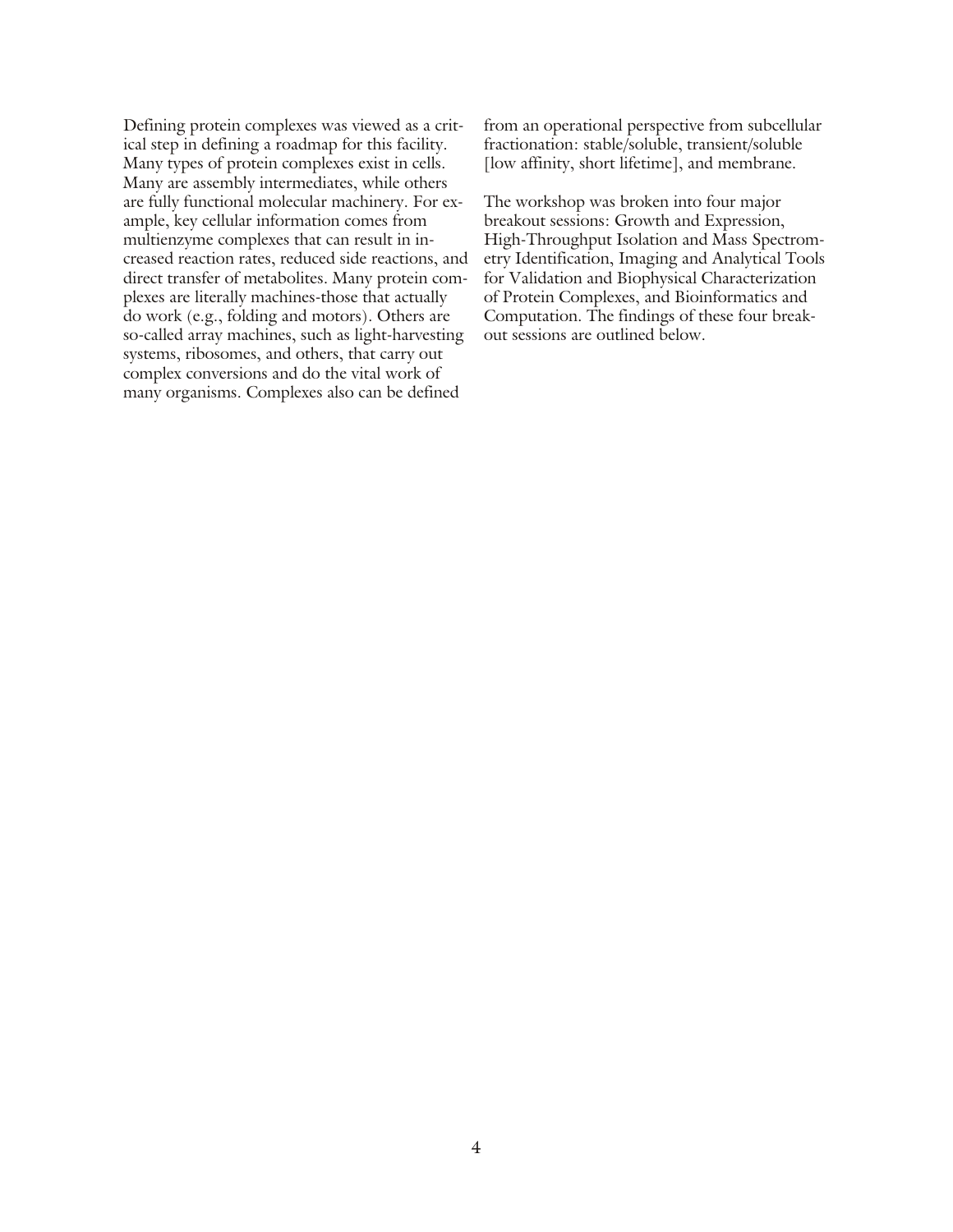Defining protein complexes was viewed as a critical step in defining a roadmap for this facility. Many types of protein complexes exist in cells. Many are assembly intermediates, while others are fully functional molecular machinery. For example, key cellular information comes from multienzyme complexes that can result in increased reaction rates, reduced side reactions, and direct transfer of metabolites. Many protein complexes are literally machines-those that actually do work (e.g., folding and motors). Others are so-called array machines, such as light-harvesting systems, ribosomes, and others, that carry out complex conversions and do the vital work of many organisms. Complexes also can be defined

from an operational perspective from subcellular fractionation: stable/soluble, transient/soluble [low affinity, short lifetime], and membrane.

The workshop was broken into four major breakout sessions: Growth and Expression, High-Throughput Isolation and Mass Spectrometry Identification, Imaging and Analytical Tools for Validation and Biophysical Characterization of Protein Complexes, and Bioinformatics and Computation. The findings of these four breakout sessions are outlined below.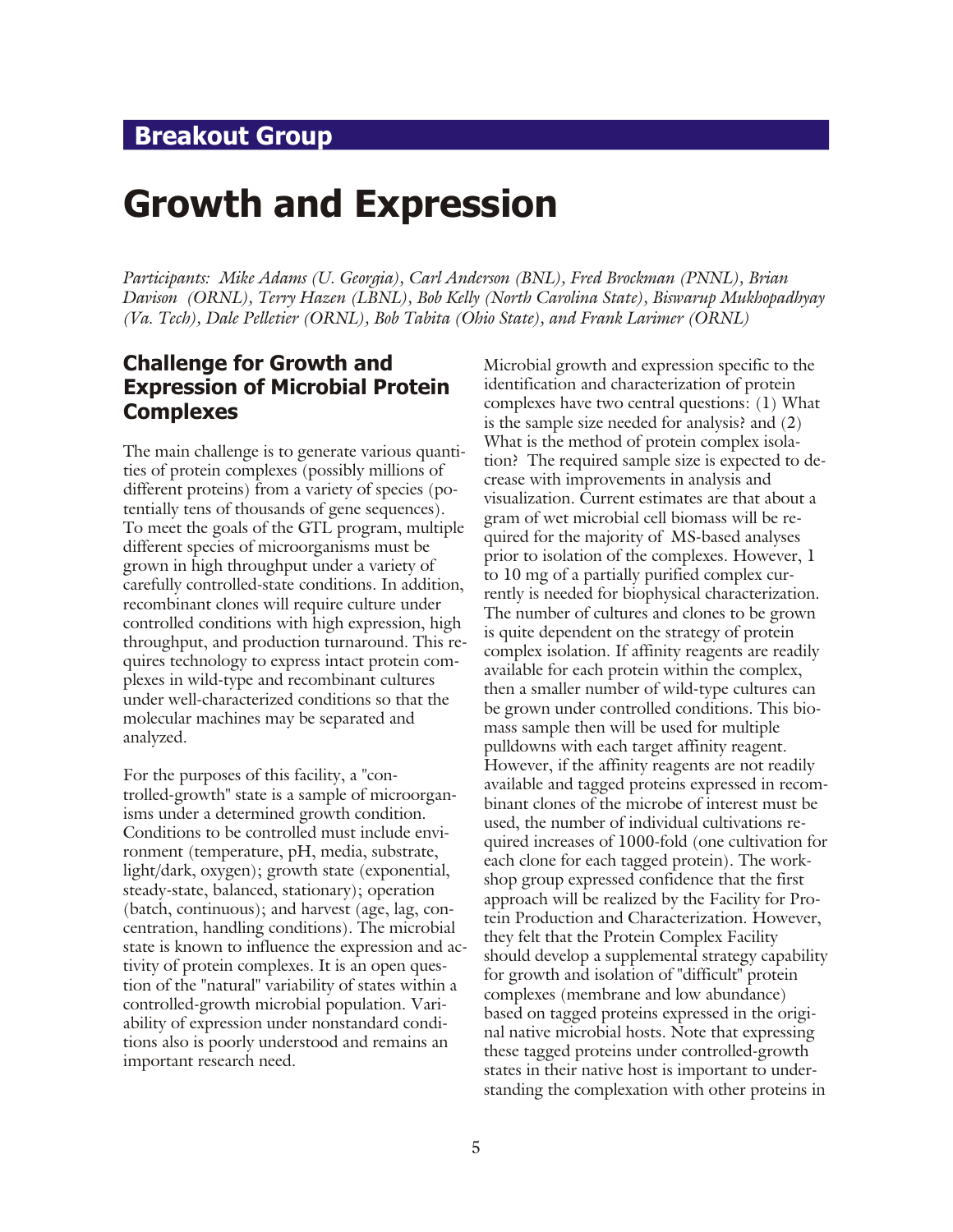## <span id="page-4-0"></span>**Breakout Group**

# **Growth and Expression**

*Participants: Mike Adams (U. Georgia), Carl Anderson (BNL), Fred Brockman (PNNL), Brian Davison (ORNL), Terry Hazen (LBNL), Bob Kelly (North Carolina State), Biswarup Mukhopadhyay (Va. Tech), Dale Pelletier (ORNL), Bob Tabita (Ohio State), and Frank Larimer (ORNL)*

#### **Challenge for Growth and Expression of Microbial Protein Complexes**

The main challenge is to generate various quantities of protein complexes (possibly millions of different proteins) from a variety of species (potentially tens of thousands of gene sequences). To meet the goals of the GTL program, multiple different species of microorganisms must be grown in high through put under a variety of carefully controlled-state conditions. In addition, re combinant clones will require culture under controlled conditions with high expression, high throughput, and production turnaround. This requires technology to express intact protein complexes in wild-type and recombinant cultures under well-characterized conditions so that the molecular machines may be separated and analyzed.

For the purposes of this facility, a "controlled-growth" state is a sample of microorganisms under a determined growth condition. Conditions to be controlled must include environment (temperature, pH, media, substrate, light/dark, oxygen); growth state (exponential, steady-state, balanced, stationary); operation  $(batch, continuous);$  and harvest (age, lag, concentration, handling conditions). The microbial state is known to influence the expression and activity of protein complexes. It is an open question of the "natural" variability of states within a controlled-growth microbial population. Variability of expression under nonstandard conditions also is poorly understood and remains an important research need.

Microbial growth and expression specific to the identification and characterization of protein complexes have two central questions:  $(1)$  What is the sample size needed for analysis? and  $(2)$ What is the method of protein complex isolation? The required sample size is expected to decrease with improvements in analysis and visualization. Current estimates are that about a gram of wet microbial cell biomass will be required for the majority of MS-based analyses prior to isolation of the complexes. However, 1 to 10 mg of a partially purified complex currently is needed for biophysical characterization. The number of cultures and clones to be grown is quite dependent on the strategy of protein complex isolation. If affinity reagents are readily available for each protein within the complex, then a smaller number of wild-type cultures can be grown under controlled conditions. This biomass sample then will be used for multiple pulldowns with each target affinity reagent. However, if the affinity reagents are not readily available and tagged proteins expressed in recombinant clones of the microbe of interest must be used, the number of individual cultivations required increases of 1000-fold (one cultivation for each clone for each tagged protein). The workshop group expressed confidence that the first approach will be realized by the Facility for Protein Production and Characterization. However, they felt that the Protein Complex Facility should develop a supplemental strategy capability for growth and isolation of "difficult" protein complexes (membrane and low abundance) based on tagged proteins expressed in the original native microbial hosts. Note that expressing these tagged proteins under controlled-growth states in their native host is important to understanding the complexation with other proteins in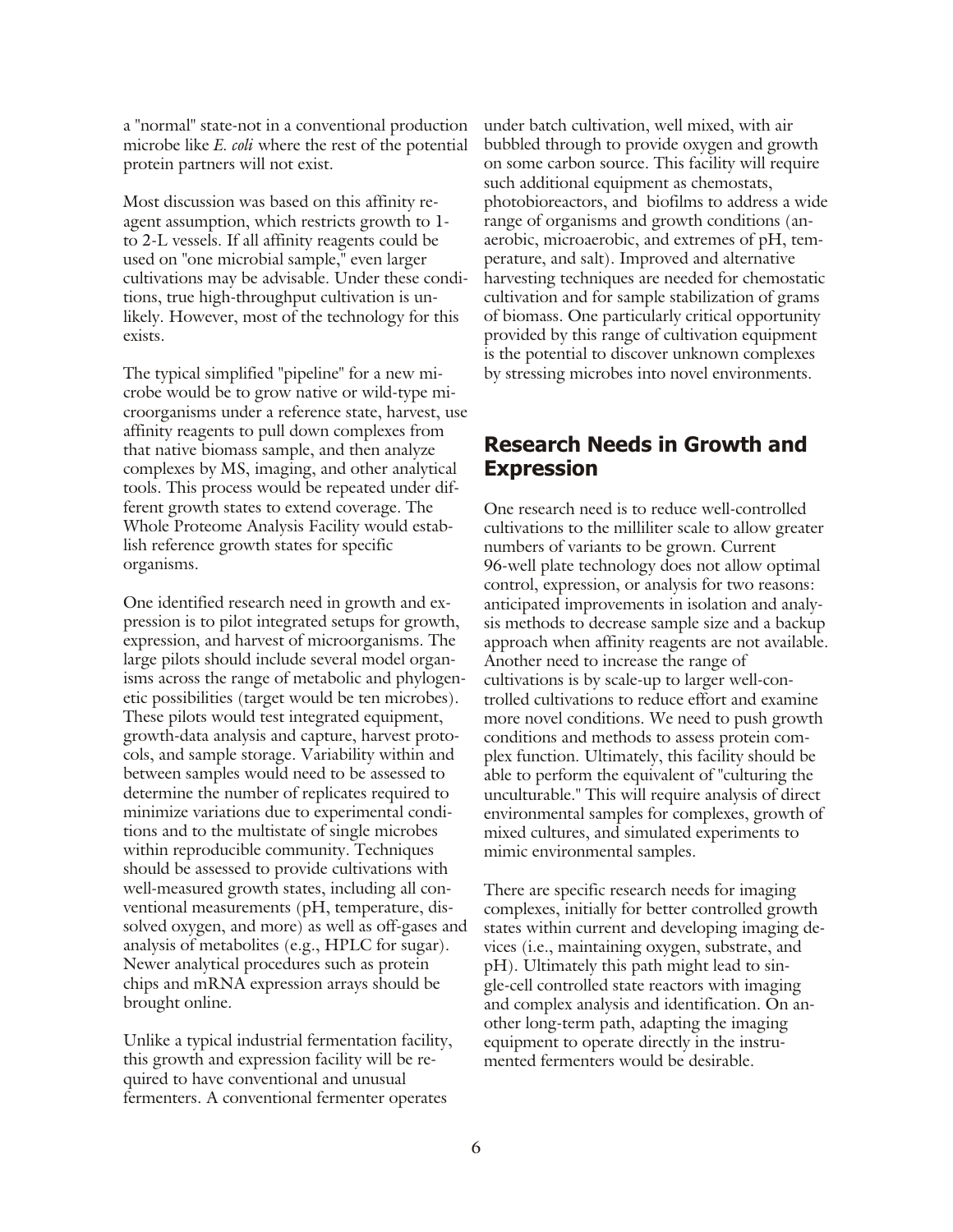a "normal" state-not in a conventional production microbe like *E. coli* where the rest of the potential protein partners will not exist.

Most discussion was based on this affinity reagent assumption, which restricts growth to 1to 2-L vessels. If all affinity reagents could be used on "one microbial sample," even larger cultivations may be advisable. Under these conditions, true high-throughput cultivation is unlikely. However, most of the technology for this exists.

The typical simplified "pipeline" for a new microbe would be to grow native or wild-type microorganisms under a reference state, harvest, use affinity reagents to pull down complexes from that native biomass sample, and then analyze complexes by MS, imaging, and other analytical tools. This process would be repeated under different growth states to extend coverage. The Whole Proteome Analysis Facility would establish reference growth states for specific organisms.

One identified research need in growth and expression is to pilot integrated setups for growth, expression, and harvest of microorganisms. The large pilots should include several model organisms across the range of metabolic and phylogenetic possibilities (target would be ten microbes). These pilots would test integrated equipment, growth-data analysis and capture, harvest protocols, and sample storage. Variability within and between samples would need to be assessed to determine the number of replicates required to minimize variations due to experimental conditions and to the multistate of single microbes within reproducible community. Techniques should be assessed to provide cultivations with well-measured growth states, including all conventional measurements (pH, temperature, dissolved oxygen, and more) as well as off-gases and analysis of metabolites (e.g., HPLC for sugar). Newer analytical procedures such as protein chips and mRNA expression arrays should be brought online.

Unlike a typical industrial fermentation facility, this growth and expression facility will be required to have conventional and unusual fermenters. A conventional fermenter operates

under batch cultivation, well mixed, with air bubbled through to provide oxygen and growth on some carbon source. This facility will require such additional equipment as chemostats, photobioreactors, and biofilms to address a wide range of organisms and growth conditions (anaerobic, microaerobic, and extremes of pH, temperature, and salt). Improved and alternative harvesting techniques are needed for chemostatic cultivation and for sample stabilization of grams of biomass. One particularly critical opportunity provided by this range of cultivation equipment is the potential to discover unknown complexes by stressing microbes into novel environments.

#### **Research Needs in Growth and Expression**

One research need is to reduce well-controlled cultivations to the milliliter scale to allow greater numbers of variants to be grown. Current 96-well plate technology does not allow optimal control, expression, or analysis for two reasons: anticipated improvements in isolation and analysis methods to decrease sample size and a backup approach when affinity reagents are not available. Another need to increase the range of cultivations is by scale-up to larger well-controlled cultivations to reduce effort and examine more novel conditions. We need to push growth conditions and methods to assess protein complex function. Ultimately, this facility should be able to perform the equivalent of "culturing the unculturable." This will require analysis of direct en vironmental samples for complexes, growth of mixed cultures, and simulated experiments to mimic environmental samples.

There are specific research needs for imaging complexes, initially for better controlled growth states within current and developing imaging devices (i.e., maintaining oxygen, substrate, and pH). Ultimately this path might lead to single-cell controlled state reactors with imaging and complex analysis and identification. On another long-term path, adapting the imaging equipment to operate directly in the instrumented fermenters would be desirable.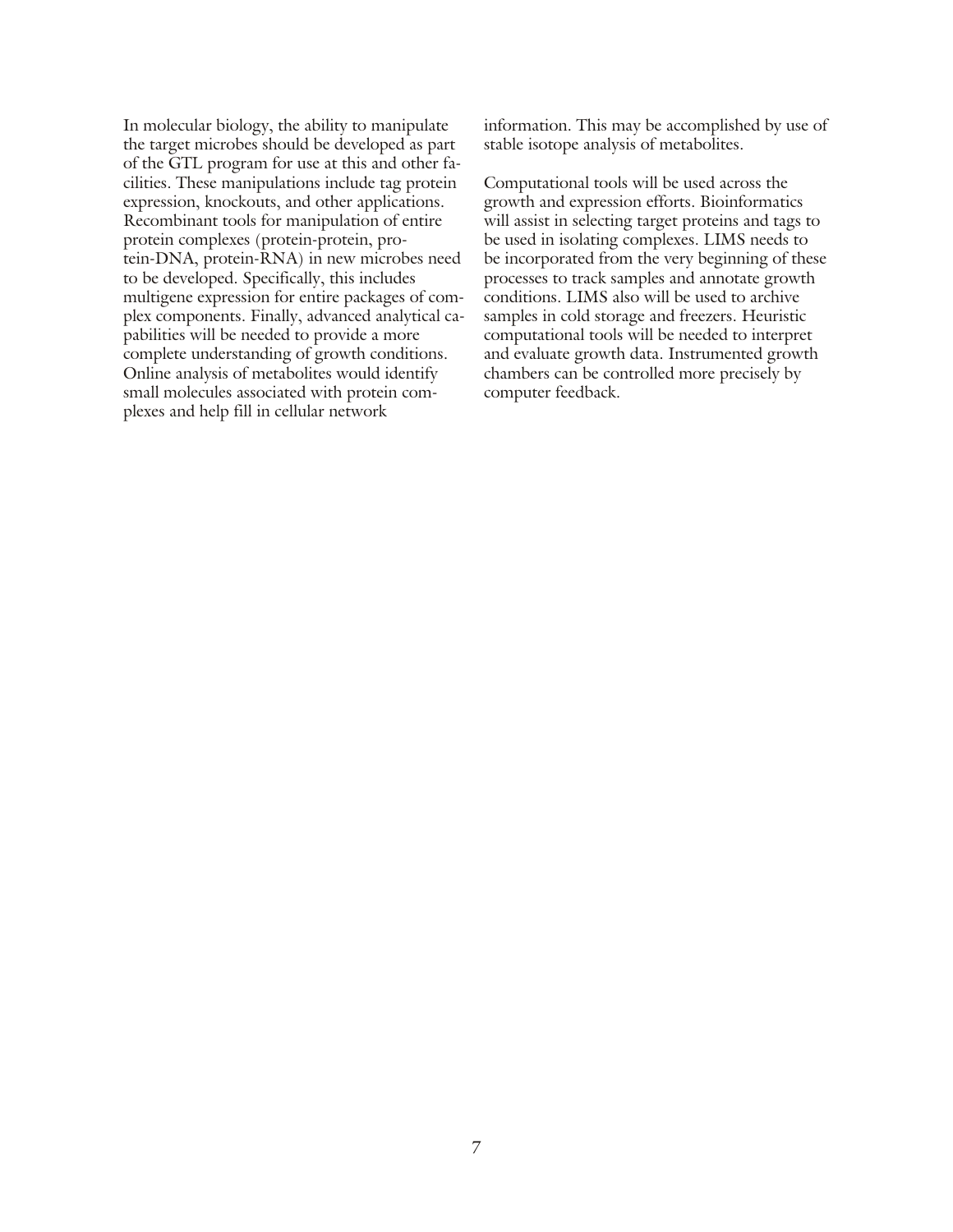In molecular biology, the ability to manipulate the target microbes should be developed as part of the GTL program for use at this and other facilities. These manipulations include tag protein expression, knockouts, and other applications. Recombinant tools for manipulation of entire protein complexes (protein-protein, protein-DNA, protein-RNA) in new microbes need to be developed. Specifically, this includes multigene expression for entire packages of complex components. Finally, advanced analytical capabilities will be needed to provide a more complete understanding of growth conditions. Online analysis of metabolites would identify small molecules associated with protein complexes and help fill in cellular network

information. This may be accomplished by use of stable isotope analysis of metabolites.

Computational tools will be used across the growth and expression efforts. Bioinformatics will assist in selecting target proteins and tags to be used in isolating complexes. LIMS needs to be incorporated from the very beginning of these processes to track samples and annotate growth conditions. LIMS also will be used to archive samples in cold storage and freezers. Heuristic computational tools will be needed to interpret and evaluate growth data. Instrumented growth chambers can be controlled more precisely by computer feedback.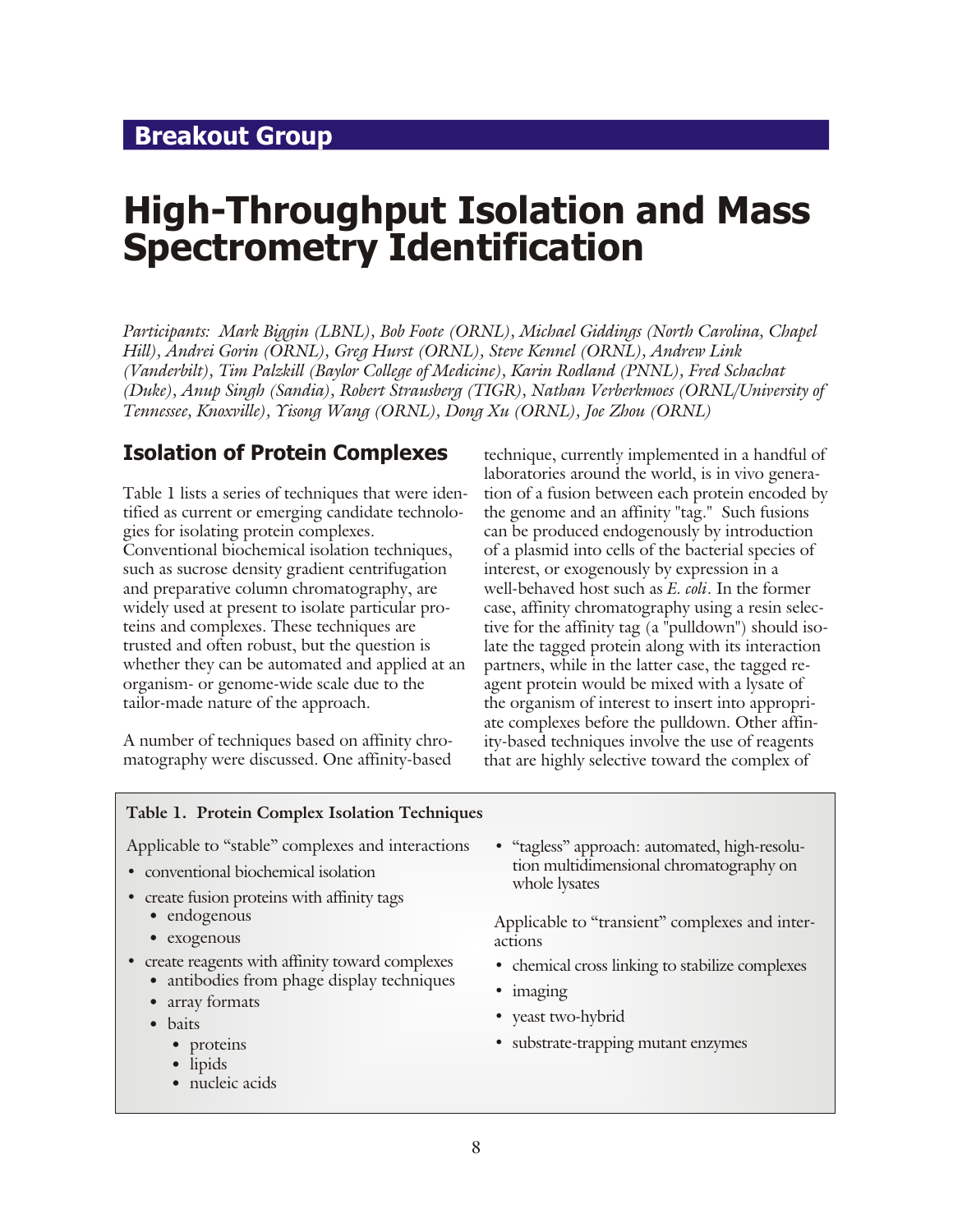## <span id="page-7-0"></span>**Breakout Group**

# **High-Throughput Isolation and Mass Spectrometry Identification**

*Par tic i pants: Mark Biggin (LBNL), Bob Foote (ORNL), Michael Giddings (North Carolina, Cha pel Hill), Andrei Gorin (ORNL), Greg Hurst (ORNL), Steve Ken nel (ORNL), Andrew Link (Vanderbilt), Tim Palzkill (Baylor Col lege of Med i cine), Karin Rodland (PNNL), Fred Schachat (Duke), Anup Singh (Sandia), Robert Strausberg (TIGR), Nathan Verberkmoes (ORNL/University of Ten nes see, Knox ville), Yisong Wang (ORNL), Dong Xu (ORNL), Joe Zhou (ORNL)*

#### **Isolation of Protein Complexes**

Table 1 lists a series of techniques that were identified as current or emerging candidate technologies for isolating protein complexes. Conventional biochemical isolation techniques, such as sucrose density gradient centrifugation and preparative column chromatography, are widely used at present to isolate particular proteins and complexes. These techniques are trusted and often robust, but the question is whether they can be automated and applied at an organism- or genome-wide scale due to the tailor-made nature of the approach.

A number of techniques based on affinity chromatography were discussed. One affinity-based

technique, currently implemented in a hand ful of laboratories around the world, is in vivo generation of a fusion between each protein encoded by the genome and an affinity "tag." Such fusions can be produced endogenously by introduction of a plasmid into cells of the bacterial species of interest, or exogenously by expression in a well-behaved host such as *E. coli*. In the former case, affinity chromatography using a resin selective for the affinity tag  $(a$  "pulldown") should isolate the tagged protein along with its interaction partners, while in the latter case, the tagged reagent protein would be mixed with a lysate of the organism of interest to insert into appropriate complexes before the pulldown. Other affinity-based techniques involve the use of reagents that are highly selective toward the complex of

#### Table 1. Protein Complex Isolation Techniques

Applicable to "stable" complexes and interactions

- conventional biochemical isolation
- create fusion proteins with affinity tags
	- endogenous
	- exogenous
- create reagents with affinity toward complexes
	- antibodies from phage display techniques
	- array formats
	- baits
		- proteins
		- lipids
		- nucleic acids

• "tagless" approach: automated, high-resolution multidimensional chromatography on whole lysates

Applicable to "transient" complexes and interactions

- chemical cross linking to stabilize complexes
- imaging
- **•** yeast two-hybrid
- substrate-trapping mutant enzymes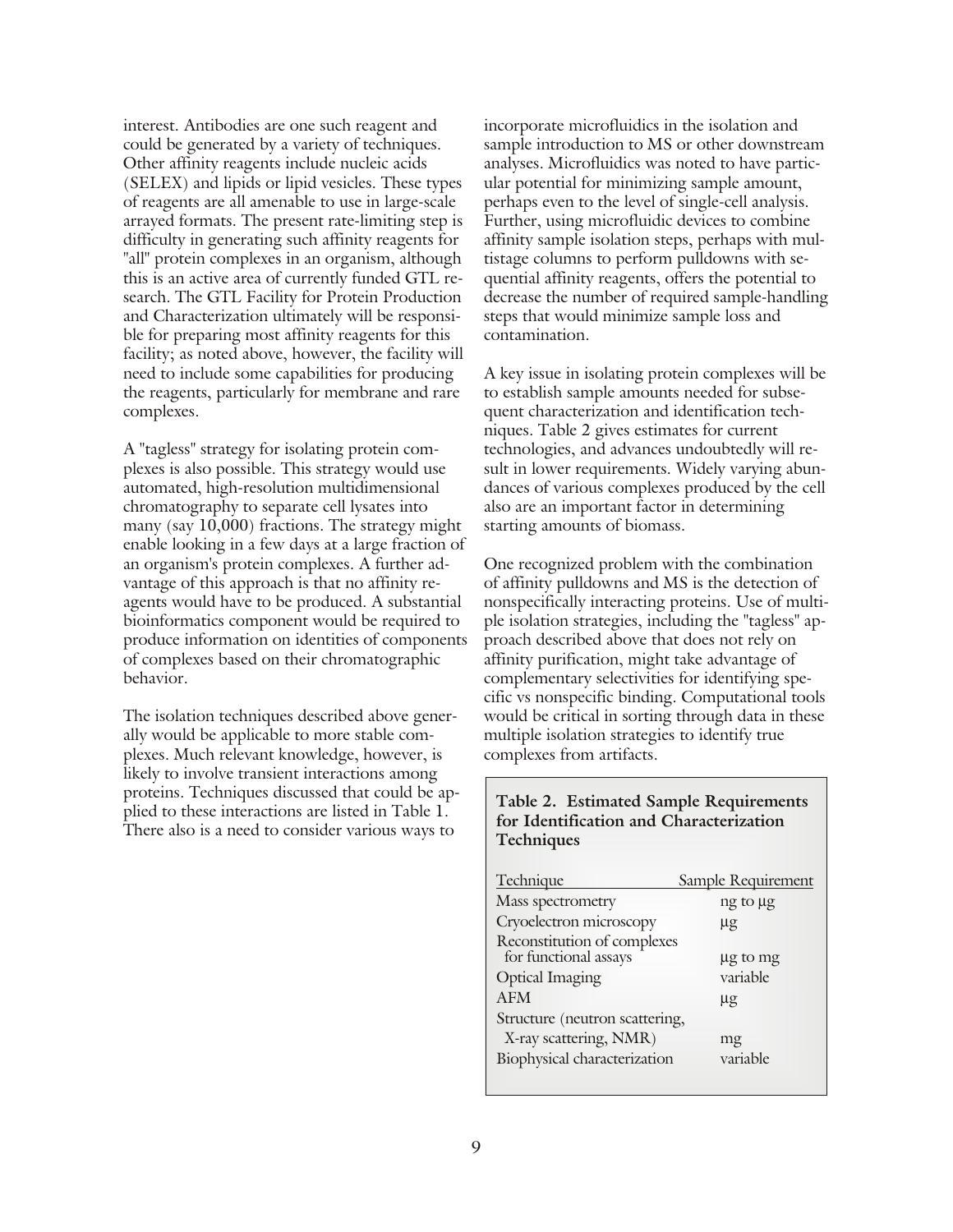interest. Antibodies are one such reagent and could be generated by a variety of techniques. Other affinity reagents include nucleic acids (SELEX) and lipids or lipid vesicles. These types of reagents are all amenable to use in large-scale arrayed formats. The present rate-limiting step is difficulty in generating such affinity reagents for "all" protein complexes in an organism, although this is an active area of currently funded GTL research. The GTL Facility for Protein Production and Characterization ultimately will be responsible for preparing most affinity reagents for this facility; as noted above, however, the facility will need to include some capabilities for producing the reagents, particularly for membrane and rare complexes.

A "tagless" strategy for isolating protein complexes is also possible. This strategy would use au to mated, high-resolution multidimensional chromatography to separate cell lysates into many (say  $10,000$ ) fractions. The strategy might enable looking in a few days at a large fraction of an organism's protein complexes. A further advantage of this approach is that no affinity reagents would have to be produced. A substantial bioinformatics component would be required to produce information on identities of components of complexes based on their chromatographic behavior.

The isolation techniques described above generally would be applicable to more stable complexes. Much relevant knowledge, however, is likely to involve transient interactions among proteins. Techniques discussed that could be applied to these interactions are listed in Table 1. There also is a need to consider various ways to

incorporate microfluidics in the isolation and sample introduction to MS or other downstream analyses. Microfluidics was noted to have particular potential for minimizing sample amount, perhaps even to the level of single-cell analysis. Further, using microfluidic devices to combine. affinity sample isolation steps, perhaps with multistage columns to perform pulldowns with sequential affinity reagents, offers the potential to decrease the number of required sample-handling steps that would minimize sample loss and contamination.

A key issue in isolating protein complexes will be to establish sample amounts needed for subsequent characterization and identification techniques. Table 2 gives estimates for current technologies, and advances undoubtedly will result in lower requirements. Widely varying abundances of various complexes produced by the cell also are an important factor in determining starting amounts of biomass.

One recognized problem with the combination of affinity pulldowns and MS is the detection of nonspecifically interacting proteins. Use of multiple isolation strategies, including the "tagless" approach described above that does not rely on affinity purification, might take advantage of complementary selectivities for identifying specific vs non specific binding. Computational tools would be critical in sorting through data in these multiple isolation strategies to identify true complexes from artifacts.

#### Table 2. Estimated Sample Requirements for Identification and Characterization **Tech niques**

| Technique                                            | Sample Requirement |
|------------------------------------------------------|--------------------|
| Mass spectrometry                                    | ng to µg           |
| Cryoelectron microscopy                              | $\mu$ g            |
| Reconstitution of complexes<br>for functional assays | µg to mg           |
| <b>Optical Imaging</b>                               | variable           |
| <b>AFM</b>                                           | $\mu$ g            |
| Structure (neutron scattering,                       |                    |
| X-ray scattering, NMR)                               | mg                 |
| Biophysical characterization                         | variable           |
|                                                      |                    |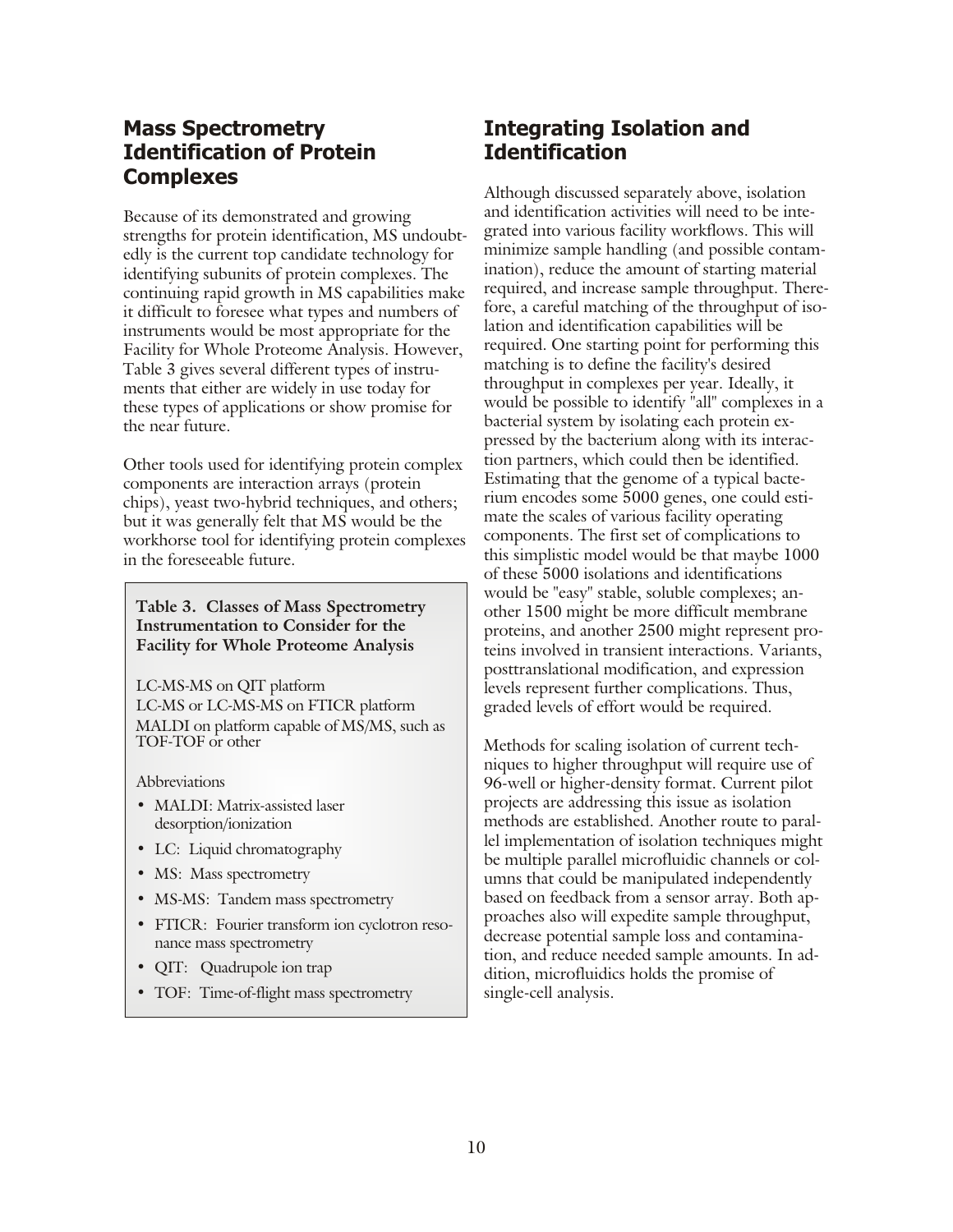### **Mass Spectrometry Identification of Protein Complexes**

Because of its demonstrated and growing strengths for protein identification, MS undoubtedly is the current top candidate technology for identifying subunits of protein complexes. The continuing rapid growth in MS capabilities make it difficult to foresee what types and numbers of in struments would be most appropriate for the Facility for Whole Proteome Analysis. However, Table 3 gives several different types of instruments that either are widely in use today for these types of applications or show promise for the near future.

Other tools used for identifying protein complex components are interaction arrays (protein chips), yeast two-hybrid techniques, and others; but it was generally felt that MS would be the workhorse tool for identifying protein complexes in the foreseeable future.

Table 3. Classes of Mass Spectrometry **Instrumentation to Consider for the Facility for Whole Proteome Analysis** 

LC-MS-MS on QIT platform LC-MS or LC-MS-MS on FTICR platform MALDI on platform capable of MS/MS, such as TOF-TOF or other

**Abbreviations** 

- **•** MALDI: Matrix-assisted laser desorption/ionization
- LC: Liquid chromatography
- MS: Mass spectrometry
- MS-MS: Tandem mass spectrometry
- FTICR: Fourier transform ion cyclotron resonance mass spectrometry
- **•** QIT: Quadrupole ion trap
- TOF: Time-of-flight mass spectrometry

## **Integrating Isolation and Identification**

Although discussed separately above, isolation and identification activities will need to be integrated into various facility workflows. This will minimize sample handling (and possible contamination), reduce the amount of starting material required, and increase sample throughput. Therefore, a careful matching of the throughput of isolation and identification capabilities will be required. One starting point for performing this matching is to define the facility's desired throughput in complexes per year. Ideally, it would be possible to identify "all" complexes in a bacterial system by isolating each protein expressed by the bacterium along with its interaction partners, which could then be identified. Estimating that the genome of a typical bacterium encodes some 5000 genes, one could estimate the scales of various facility operating components. The first set of complications to this simplistic model would be that maybe 1000 of these 5000 isolations and identifications would be "easy" stable, soluble complexes; another 1500 might be more difficult membrane proteins, and another 2500 might represent proteins involved in transient interactions. Variants, posttranslational modification, and expression levels represent further complications. Thus, graded levels of effort would be required.

Methods for scaling isolation of current techniques to higher throughput will require use of 96-well or higher-density format. Current pilot projects are addressing this issue as isolation methods are established. Another route to parallel implementation of isolation techniques might be multiple parallel microfluidic channels or columns that could be manipulated independently based on feedback from a sensor array. Both approaches also will expedite sample throughput, decrease potential sample loss and contamination, and reduce needed sample amounts. In addition, microfluidics holds the promise of single-cell analysis.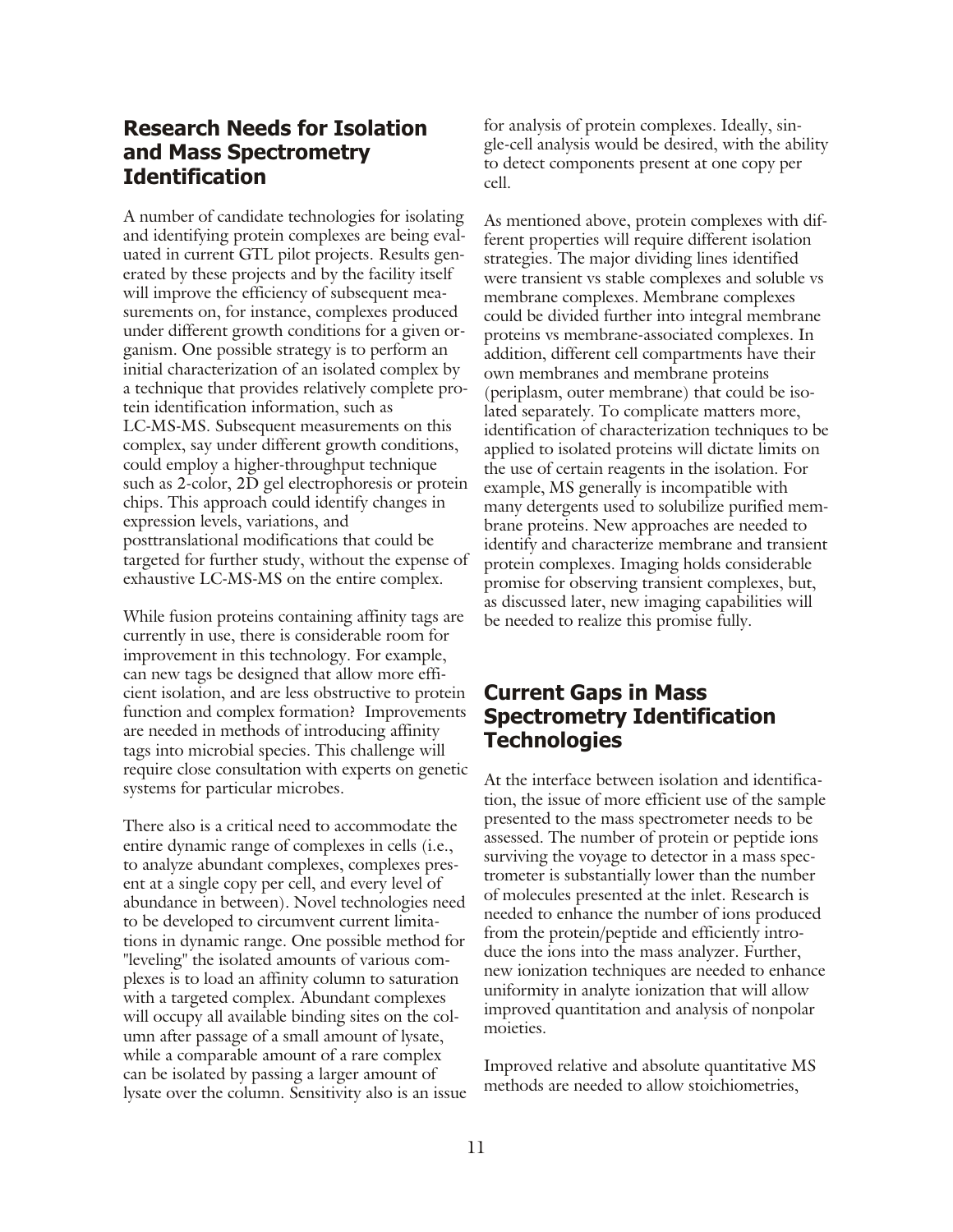#### **Research Needs for Isolation and Mass Spectrometry Identification**

A number of candidate technologies for isolating and identifying protein complexes are being evaluated in current GTL pilot projects. Results generated by these projects and by the facility itself will improve the efficiency of subsequent measurements on, for instance, complexes produced under different growth conditions for a given organism. One possible strategy is to perform an initial characterization of an isolated complex by a technique that provides relatively complete protein identification information, such as LC-MS-MS. Subsequent measurements on this complex, say under different growth conditions, could employ a higher-through put technique such as 2-color, 2D gel electrophoresis or protein chips. This approach could identify changes in expression levels, variations, and posttranslational modifications that could be targeted for further study, without the expense of exhaustive LC-MS-MS on the entire complex.

While fusion proteins containing affinity tags are currently in use, there is considerable room for im provement in this technology. For example, can new tags be designed that allow more efficient isolation, and are less obstructive to protein function and complex formation? Improvements are needed in methods of introducing affinity tags into microbial species. This challenge will require close consultation with experts on genetic systems for particular microbes.

There also is a critical need to accommodate the entire dynamic range of complexes in cells (i.e., to analyze abundant complexes, complexes present at a single copy per cell, and every level of abundance in between). Novel technologies need to be developed to circumvent current limitations in dynamic range. One possible method for "leveling" the isolated amounts of various complexes is to load an affinity column to saturation with a targeted complex. Abundant complexes will occupy all available binding sites on the column after passage of a small amount of lysate, while a comparable amount of a rare complex can be isolated by passing a larger amount of lysate over the column. Sensitivity also is an issue

for analysis of protein complexes. Ideally, single-cell analysis would be desired, with the ability to detect components present at one copy per cell.

As mentioned above, protein complexes with different properties will require different isolation strategies. The major dividing lines identified were transient vs stable complexes and soluble vs membrane complexes. Membrane complexes could be divided further into integral membrane proteins vs membrane-associated complexes. In addition, different cell compartments have their own membranes and membrane proteins (periplasm, outer membrane) that could be isolated separately. To complicate matters more, identification of characterization techniques to be applied to isolated proteins will dictate limits on the use of certain reagents in the isolation. For example, MS generally is incompatible with many detergents used to solubilize purified membrane proteins. New approaches are needed to identify and characterize membrane and transient protein complexes. Imaging holds considerable promise for observing transient complexes, but, as discussed later, new imaging capabilities will be needed to realize this promise fully.

### **Current Gaps in Mass Spectrometry Identification Technologies**

At the interface between isolation and identification, the issue of more efficient use of the sample presented to the mass spectrometer needs to be assessed. The number of protein or peptide ions surviving the voyage to detector in a mass spectrom eter is substantially lower than the number of molecules presented at the inlet. Research is needed to enhance the number of ions produced from the protein/peptide and efficiently introduce the ions into the mass analyzer. Further, new ionization techniques are needed to enhance uniformity in analyte ionization that will allow im proved quantitation and analysis of nonpolar moieties.

Improved relative and absolute quantitative MS methods are needed to allow stoichiometries,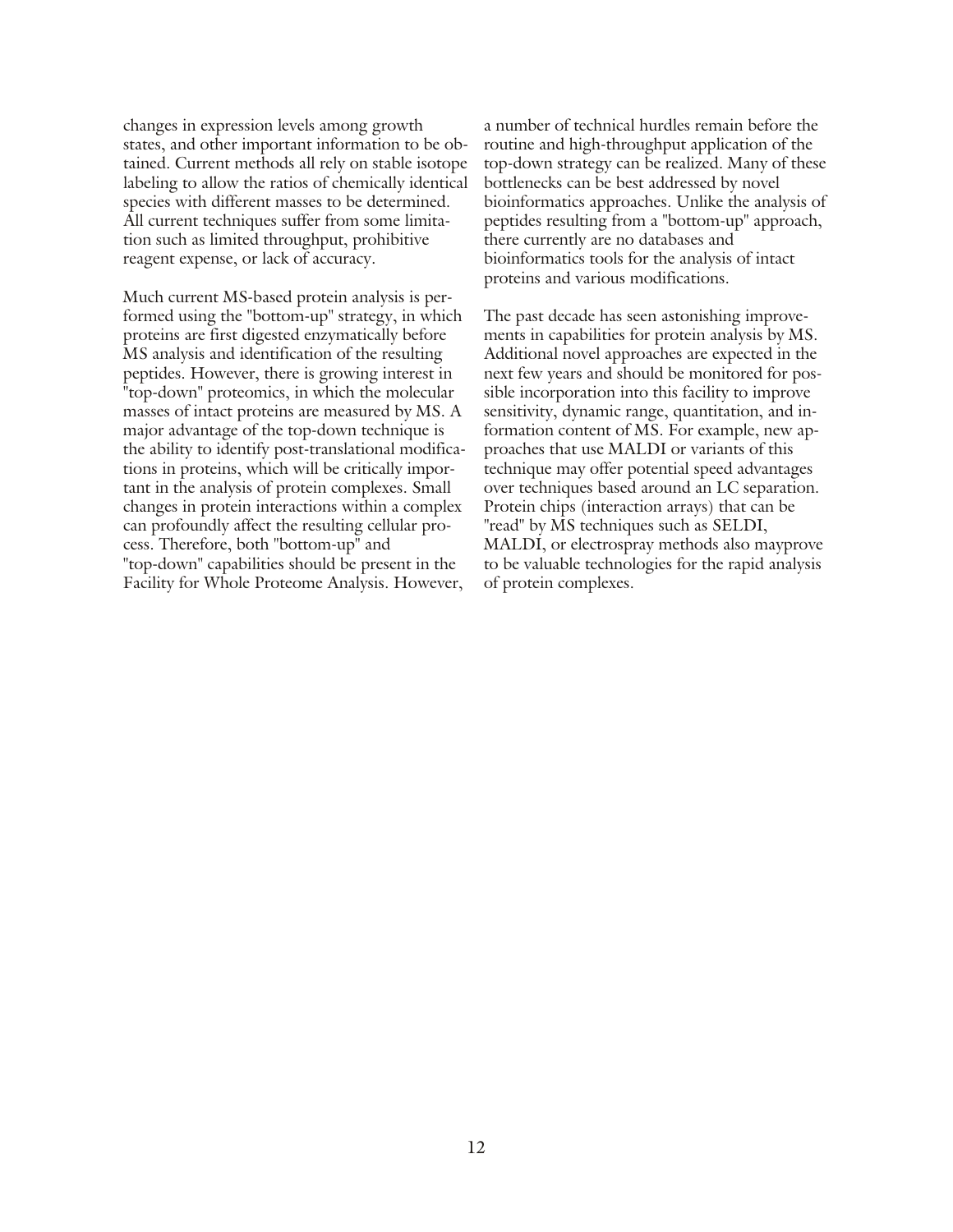changes in expression levels among growth states, and other important information to be obtained. Current methods all rely on stable isotope labeling to allow the ratios of chemically identical species with different masses to be determined. All current techniques suffer from some limitation such as limited throughput, prohibitive reagent expense, or lack of accuracy.

Much current MS-based protein analysis is performed using the "bottom-up" strategy, in which proteins are first digested enzymatically before MS analysis and identification of the resulting peptides. However, there is growing interest in "top-down" proteomics, in which the molecular masses of intact proteins are measured by MS. A major advantage of the top-down technique is the ability to identify post-translational modifications in proteins, which will be critically important in the analysis of protein complexes. Small changes in protein interactions within a complex can profoundly affect the resulting cellular process. Therefore, both "bottom-up" and "top-down" capabilities should be present in the Facility for Whole Proteome Analysis. However,

a number of technical hurdles remain before the routine and high-throughput application of the top-down strategy can be realized. Many of these bottlenecks can be best addressed by novel bioinformatics approaches. Unlike the analysis of peptides resulting from a "bottom-up" approach, there currently are no databases and bioinformatics tools for the analysis of intact proteins and various modifications.

The past decade has seen astonishing improvements in capabilities for protein analysis by MS. Additional novel approaches are expected in the next few years and should be monitored for possible incorporation into this facility to improve sensitivity, dynamic range, quantitation, and information content of MS. For example, new approaches that use MALDI or variants of this technique may offer potential speed advantages over techniques based around an LC separation. Protein chips (interaction arrays) that can be "read" by MS techniques such as SELDI, MALDI, or electrospray methods also mayprove to be valuable technologies for the rapid analysis of protein complexes.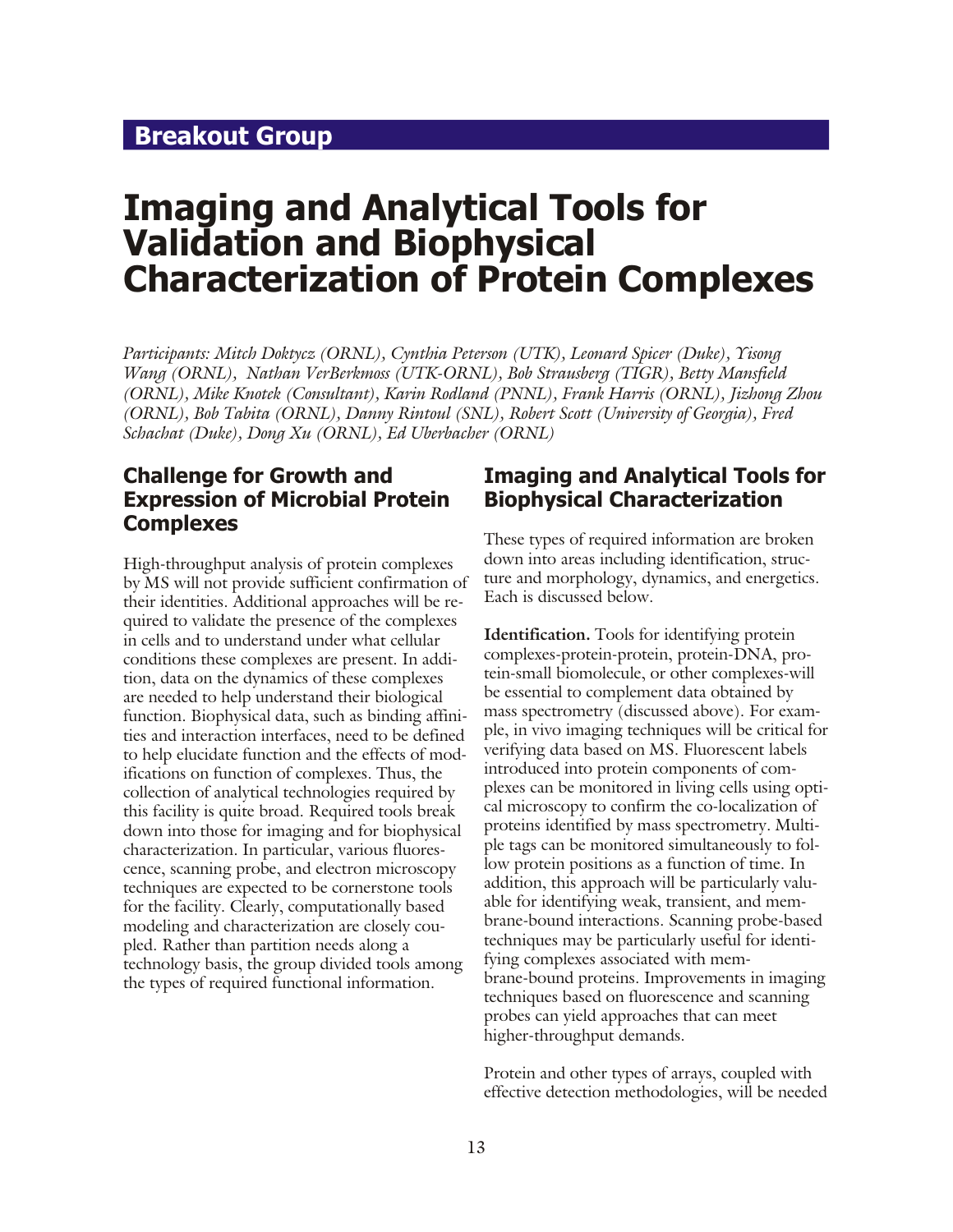## <span id="page-12-0"></span>**Breakout Group**

## **Imaging and Analytical Tools for Validation and Biophysical Characterization of Protein Complexes**

*Participants: Mitch Doktycz (ORNL), Cynthia Peterson (UTK), Leonard Spicer (Duke), Yisong Wang (ORNL), Nathan VerBerkmoss (UTK-ORNL), Bob Strausberg (TIGR), Betty Mansfield (ORNL), Mike Knotek (Consultant), Karin Rodland (PNNL), Frank Harris (ORNL), Jizhong Zhou (ORNL), Bob Tabita (ORNL), Danny Rintoul (SNL), Robert Scott (University of Georgia), Fred Schachat (Duke), Dong Xu (ORNL), Ed Uberbacher (ORNL)* 

### **Challenge for Growth and Expression of Microbial Protein Complexes**

High-throughput analysis of protein complexes by MS will not provide sufficient confirmation of their identities. Additional approaches will be required to validate the presence of the complexes in cells and to understand under what cellular conditions these complexes are present. In addition, data on the dynamics of these complexes are needed to help understand their biological function. Biophysical data, such as binding affinities and interaction interfaces, need to be defined to help elucidate function and the effects of modifications on function of complexes. Thus, the collection of analytical technologies required by this facility is quite broad. Required tools break down into those for imaging and for biophysical characterization. In particular, various fluorescence, scanning probe, and electron microscopy techniques are expected to be cornerstone tools for the facility. Clearly, computationally based modeling and characterization are closely coupled. Rather than partition needs along a technology basis, the group divided tools among the types of required functional information.

#### **Imaging and Analytical Tools for Biophysical Characterization**

These types of required information are broken down into areas including identification, structure and morphology, dynamics, and energetics. Each is discussed below.

**Identification.** Tools for identifying protein complexes-protein-protein, protein-DNA, protein-small biomolecule, or other complexes-will be essential to complement data obtained by mass spectrometry (discussed above). For example, in vivo imaging techniques will be critical for verifying data based on MS. Fluorescent labels introduced into protein components of complexes can be monitored in living cells using optical microscopy to confirm the co-localization of proteins identified by mass spectrometry. Multiple tags can be monitored simultaneously to follow protein positions as a function of time. In addition, this approach will be particularly valuable for identifying weak, transient, and membrane-bound interactions. Scanning probe-based techniques may be particularly useful for identifying complexes associated with membrane-bound proteins. Improvements in imaging techniques based on fluorescence and scanning probes can yield approaches that can meet higher-throughput demands.

Protein and other types of arrays, coupled with effective detection methodologies, will be needed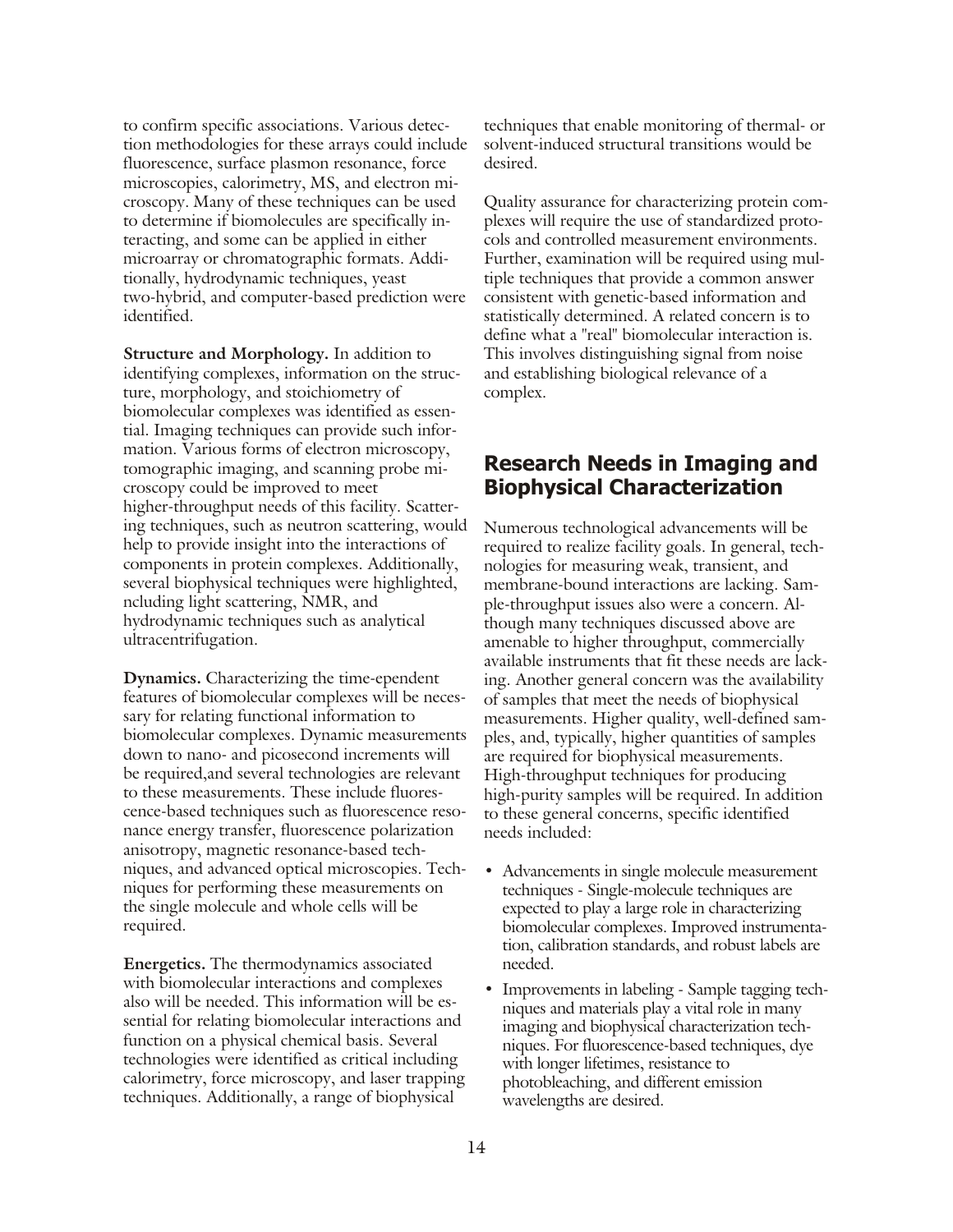to confirm specific associations. Various detection methodologies for these arrays could include fluorescence, surface plasmon resonance, force microscopies, calorimetry, MS, and electron microscopy. Many of these techniques can be used to determine if biomolecules are specifically interacting, and some can be applied in either microarray or chromatographic formats. Additionally, hydrodynamic techniques, yeast two-hybrid, and computer-based prediction were identified.

**Structure and Morphology.** In addition to identifying complexes, information on the structure, morphology, and stoichiometry of biomolecular complexes was identified as essential. Imaging techniques can provide such information. Various forms of electron microscopy, tomographic imaging, and scanning probe microscopy could be improved to meet higher-throughput needs of this facility. Scattering techniques, such as neutron scattering, would help to provide insight into the interactions of components in protein complexes. Additionally, several biophysical techniques were highlighted, ncluding light scattering, NMR, and hydrodynamic techniques such as analytical ultracentrifugation.

**Dynamics.** Characterizing the time-ependent features of biomolecular complexes will be necessary for relating functional information to biomolecular complexes. Dynamic measurements down to nano- and picosecond increments will be required, and several technologies are relevant to these measurements. These include fluorescence-based techniques such as fluorescence resonance energy transfer, fluorescence polarization anisotropy, magnetic resonance-based techniques, and advanced optical microscopies. Techniques for performing these measurements on the single molecule and whole cells will be required.

**Energetics.** The thermodynamics associated with biomolecular interactions and complexes also will be needed. This information will be essential for relating biomolecular interactions and function on a physical chemical basis. Several technologies were identified as critical including calorimetry, force microscopy, and laser trapping techniques. Additionally, a range of biophysical

techniques that enable monitoring of thermal- or solvent-induced structural transitions would be desired.

Quality assurance for characterizing protein complexes will require the use of standardized protocols and controlled measurement environments. Further, examination will be required using multiple techniques that provide a common answer consistent with genetic-based information and statistically determined. A related concern is to define what a "real" biomolecular interaction is. This involves distinguishing signal from noise and establishing biological relevance of a complex.

#### **Research Needs in Imaging and Biophysical Characterization**

Numerous technological advancements will be required to realize facility goals. In general, technologies for measuring weak, transient, and membrane-bound interactions are lacking. Sample-throughput issues also were a concern. Although many techniques discussed above are amenable to higher throughput, commercially available instruments that fit these needs are lacking. Another general concern was the availability of samples that meet the needs of biophysical measurements. Higher quality, well-defined samples, and, typically, higher quantities of samples are required for biophysical measurements. High-throughput techniques for producing high-purity samples will be required. In addition to these general concerns, specific identified needs included:

- Advancements in single molecule measurement techniques - Single-molecule techniques are expected to play a large role in characterizing biomolecular complexes. Improved instrumentation, calibration standards, and robust labels are needed.
- Improvements in labeling Sample tagging techniques and materials play a vital role in many imaging and biophysical characterization techniques. For fluorescence-based techniques, dye with longer lifetimes, resistance to photobleaching, and different emission wavelengths are desired.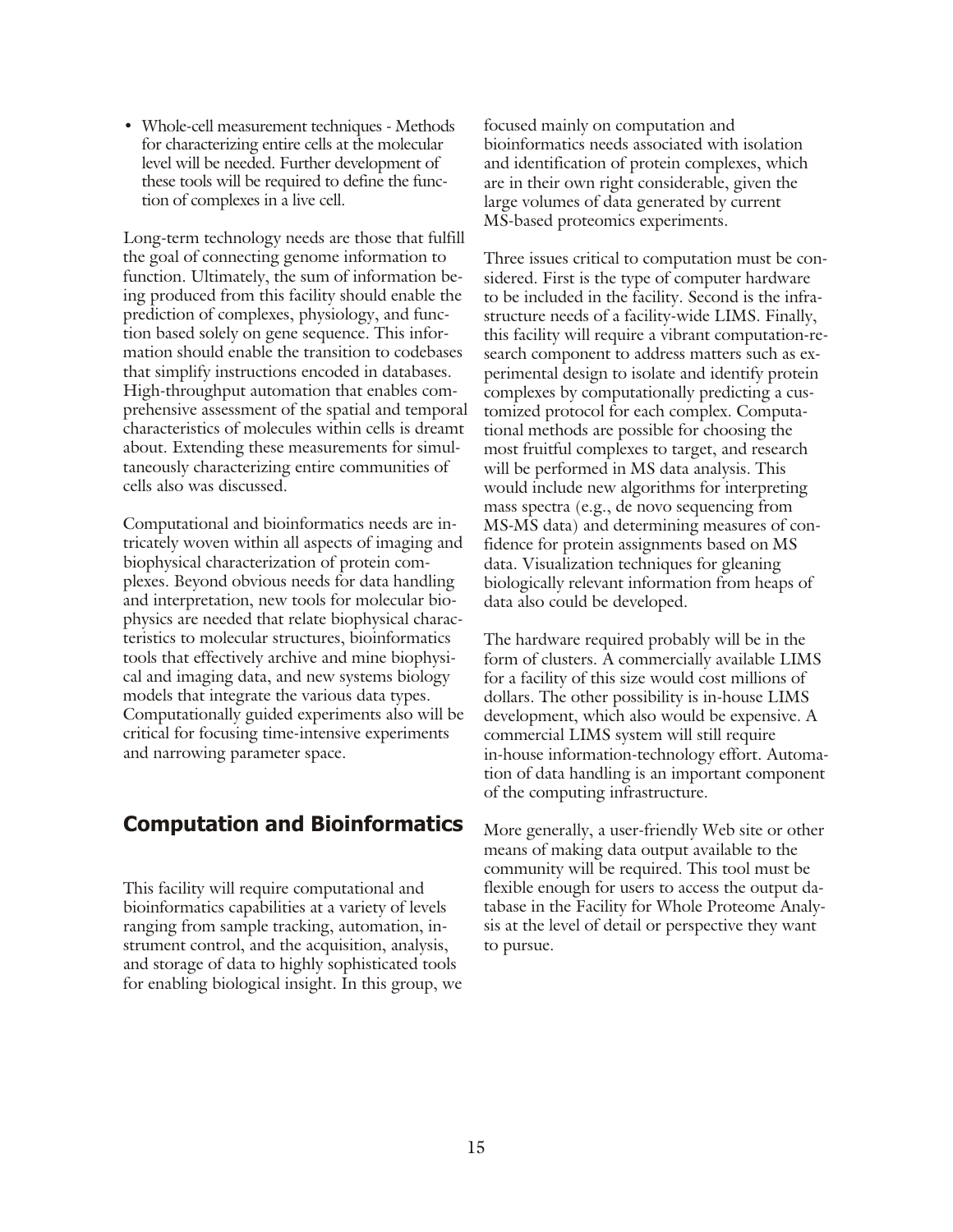• Whole-cell measurement techniques - Methods for characterizing entire cells at the molecular level will be needed. Further development of these tools will be required to define the function of complexes in a live cell.

Long-term technology needs are those that fulfill the goal of connecting genome information to function. Ultimately, the sum of information being produced from this facility should enable the prediction of complexes, physiology, and function based solely on gene sequence. This information should enable the transition to codebases that simplify instructions encoded in databases. High-throughput automation that enables comprehensive assessment of the spatial and temporal characteristics of molecules within cells is dreamt about. Extending these measurements for simulta neously characterizing entire communities of cells also was discussed.

Computational and bioinformatics needs are intricately woven within all aspects of imaging and biophysical characterization of protein complexes. Beyond obvious needs for data handling and interpretation, new tools for molecular biophysics are needed that relate biophysical characteristics to molecular structures, bioinformatics tools that effectively archive and mine biophysical and imaging data, and new systems biology models that integrate the various data types. Computationally guided experiments also will be critical for focusing time-intensive experiments and narrowing parameter space.

### **Computation and Bioinformatics**

This facility will require computational and bioinformatics capabilities at a variety of levels ranging from sample tracking, automation, instrument control, and the acquisition, analysis, and storage of data to highly sophisticated tools for enabling biological insight. In this group, we

focused mainly on computation and bioinformatics needs associated with isolation and identification of protein complexes, which are in their own right considerable, given the large volumes of data generated by current MS-based proteomics experiments.

Three issues critical to computation must be considered. First is the type of computer hardware to be included in the facility. Second is the infrastructure needs of a facility-wide LIMS. Finally, this facility will require a vibrant computation-research component to address matters such as experimental design to isolate and identify protein complexes by computationally predicting a customized protocol for each complex. Computational methods are possible for choosing the most fruitful complexes to target, and research will be performed in MS data analysis. This would include new algorithms for interpreting mass spectra (e.g., de novo sequencing from MS-MS data) and determining measures of confidence for protein assignments based on MS data. Visualization techniques for gleaning biologically relevant information from heaps of data also could be developed.

The hardware required probably will be in the form of clusters. A commercially available LIMS for a facility of this size would cost millions of dollars. The other possibility is in-house LIMS development, which also would be expensive. A commercial LIMS system will still require in-house information-technology effort. Automation of data handling is an important component of the computing infrastructure.

More generally, a user-friendly Web site or other means of making data output available to the community will be required. This tool must be flexible enough for users to access the output database in the Facility for Whole Proteome Analysis at the level of detail or perspective they want to pursue.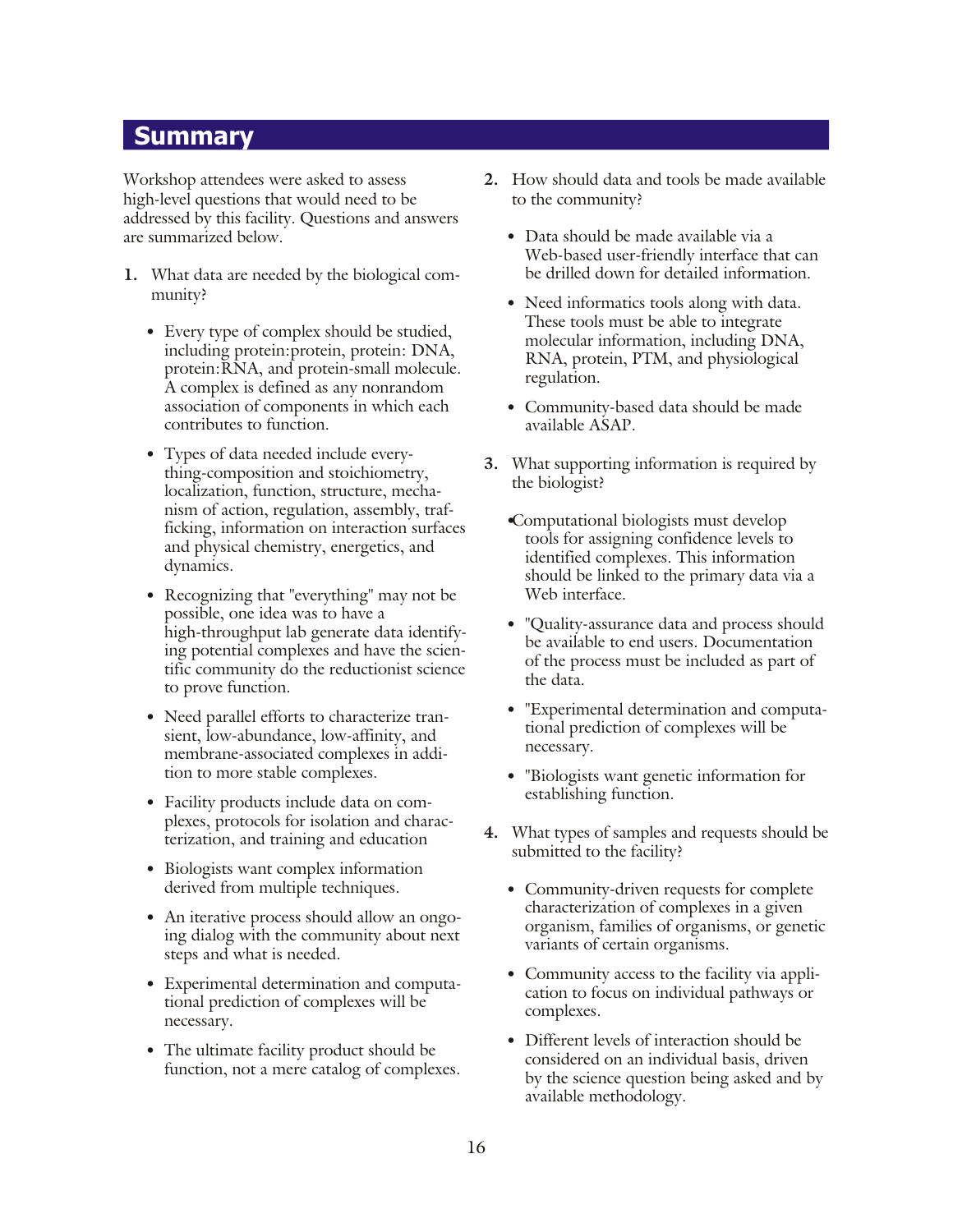#### <span id="page-15-0"></span>**Summary**

Workshop attendees were asked to assess high-level questions that would need to be addressed by this facility. Questions and answers are summarized below.

- **1.** What data are needed by the biological community?
	- Every type of complex should be studied, including protein: protein, protein: DNA, protein: RNA, and protein-small molecule. A complex is defined as any nonrandom association of components in which each contributes to function.
	- Types of data needed include everything-composition and stoichiometry, localization, function, structure, mechanism of action, regulation, assembly, trafficking, information on interaction surfaces and physical chemistry, energetics, and dynamics.
	- Recognizing that "everything" may not be possible, one idea was to have a high-throughput lab generate data identifying potential complexes and have the scientific community do the reductionist science to prove function.
	- Need parallel efforts to characterize transient, low-abundance, low-affinity, and membrane-associated complexes in addition to more stable complexes.
	- Facility products include data on complexes, protocols for isolation and characterization, and training and education
	- Biologists want complex information derived from multiple techniques.
	- An iterative process should allow an ongoing dialog with the community about next steps and what is needed.
	- Experimental determination and computational prediction of complexes will be necessary.
	- The ultimate facility product should be function, not a mere catalog of complexes.
- 2. How should data and tools be made available to the community?
	- Data should be made available via a Web-based user-friendly interface that can be drilled down for detailed information.
	- Need informatics tools along with data. These tools must be able to integrate molecular information, including DNA, RNA, protein, PTM, and physiological regulation.
	- Community-based data should be made available ASAP.
- **3.** What supporting information is required by the biologist?
	- Computational biologists must develop tools for assigning confidence levels to identified complexes. This information should be linked to the primary data via a Web interface.
	- "Quality-assurance data and process should be available to end users. Documentation of the process must be included as part of the data.
	- "Experimental determination and computational prediction of complexes will be necessary.
	- "Biologists want genetic information for establishing function.
- **4.** What types of samples and requests should be sub mitted to the facility?
	- Community-driven requests for complete characterization of complexes in a given organism, families of organisms, or genetic variants of certain organisms.
	- Community access to the facility via application to focus on individual pathways or complexes.
	- Different levels of interaction should be considered on an individual basis, driven by the science question being asked and by available methodology.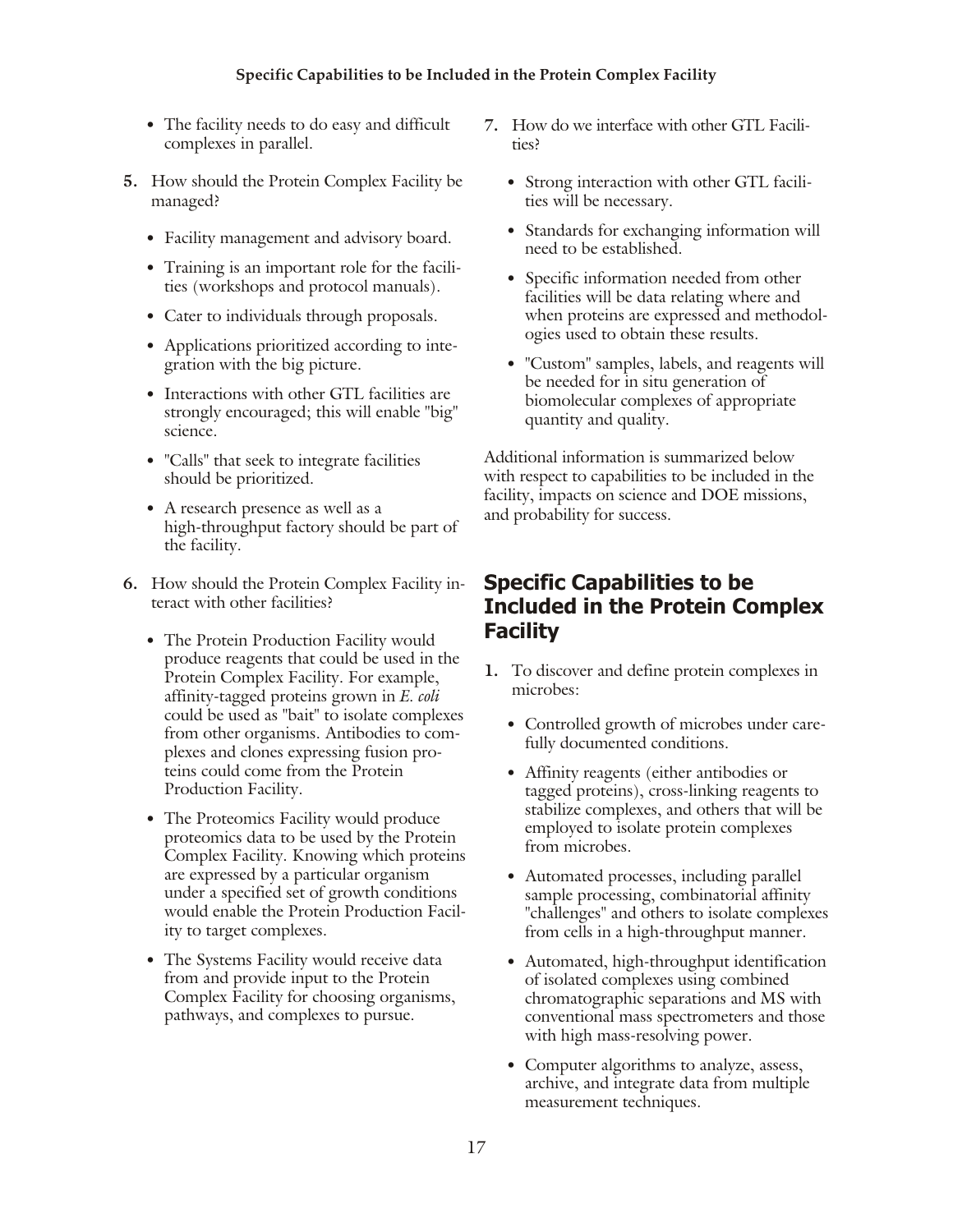#### **Specific Capabilities to be Included in the Protein Complex Facility**

- The facility needs to do easy and difficult complexes in parallel.
- **5.** How should the Protein Complex Facility be managed?
	- Facility management and advisory board.
	- Training is an important role for the facilities (workshops and protocol manuals).
	- Cater to individuals through proposals.
	- Applications prioritized according to integration with the big picture.
	- Interactions with other GTL facilities are strongly encouraged; this will enable "big" science.
	- "Calls" that seek to integrate facilities should be prioritized.
	- A research presence as well as a high-throughput factory should be part of the facility.
- **6.** How should the Protein Complex Facility interact with other facilities?
	- The Protein Production Facility would produce reagents that could be used in the Protein Complex Facility. For example, affin ity-tagged pro teins grown in *E. coli* could be used as "bait" to isolate complexes from other organisms. Antibodies to complexes and clones expressing fusion proteins could come from the Protein Production Facility.
	- The Proteomics Facility would produce proteomics data to be used by the Protein Complex Facility. Knowing which proteins are expressed by a particular organism under a specified set of growth conditions would enable the Protein Production Facility to target complexes.
	- The Systems Facility would receive data from and provide input to the Protein Complex Facility for choosing organisms, pathways, and complexes to pursue.
- 7. How do we interface with other GTL Facilities?
	- Strong interaction with other GTL facilities will be necessary.
	- Standards for exchanging information will need to be established.
	- Specific information needed from other facilities will be data relating where and when proteins are expressed and methodologies used to obtain these results.
	- "Custom" samples, labels, and reagents will be needed for in situ generation of biomolecular complexes of appropriate quantity and quality.

Additional information is summarized below with respect to capabilities to be included in the facility, impacts on science and DOE missions, and probability for success.

#### **Specific Capabilities to be Included in the Protein Complex Facility**

- **1.** To discover and define protein complexes in microbes:
	- Controlled growth of microbes under carefully documented conditions.
	- Affinity reagents (either antibodies or tagged proteins), cross-linking reagents to stabilize complexes, and others that will be employed to isolate protein complexes from microbes.
	- Automated processes, including parallel sample processing, combinatorial affinity "challenges" and others to isolate complexes from cells in a high-throughput manner.
	- Automated, high-throughput identification of isolated complexes using combined chromatographic separations and MS with conventional mass spectrometers and those with high mass-resolving power.
	- Computer algorithms to analyze, assess, archive, and integrate data from multiple measurement techniques.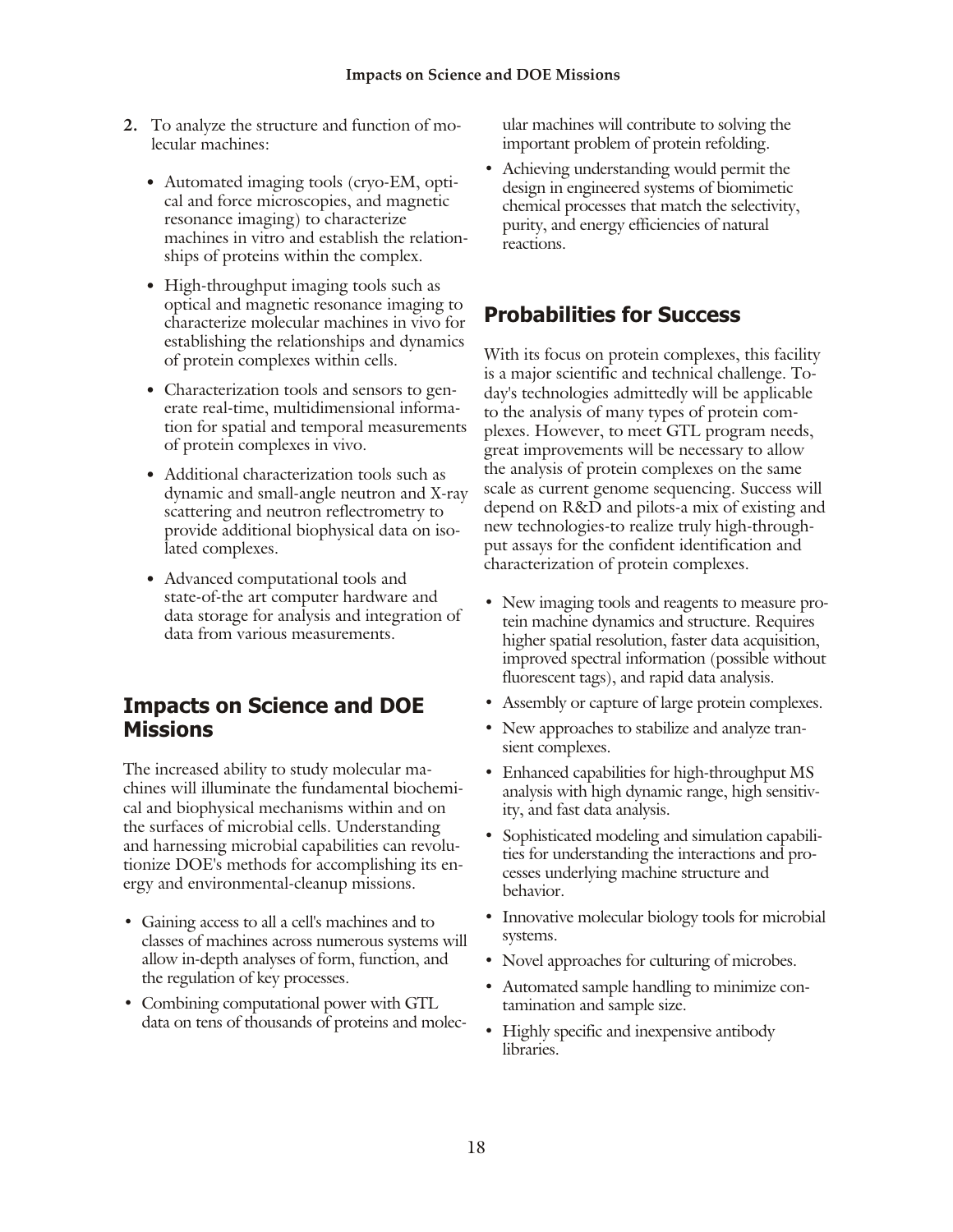- **2.** To analyze the structure and function of molecular machines:
	- Automated imaging tools (cryo-EM, optical and force microscopies, and magnetic resonance imaging) to characterize machines in vitro and establish the relationships of proteins within the complex.
	- High-throughput imaging tools such as optical and magnetic resonance imaging to characterize molecular machines in vivo for establishing the relationships and dynamics of protein complexes within cells.
	- Characterization tools and sensors to generate real-time, multidimensional information for spatial and temporal measurements of protein complexes in vivo.
	- Additional characterization tools such as dynamic and small-angle neutron and X-ray scattering and neutron reflectrometry to provide additional biophysical data on isolated complexes.
	- Advanced computational tools and state-of-the art computer hardware and data storage for analysis and integration of data from various measurements.

## **Impacts on Science and DOE Missions**

The increased ability to study molecular machines will illuminate the fundamental biochemical and biophysical mechanisms within and on the surfaces of microbial cells. Understanding and harnessing microbial capabilities can revolutionize DOE's methods for accomplishing its energy and environmental-cleanup missions.

- Gaining access to all a cell's machines and to classes of machines across numerous systems will allow in-depth analyses of form, function, and the regulation of key processes.
- Combining computational power with GTL data on tens of thousands of proteins and molec-

ular machines will contribute to solving the important problem of protein refolding.

• Achieving understanding would permit the design in engineered systems of biomimetic chemical processes that match the selectivity, purity, and energy efficiencies of natural reactions.

## **Probabilities for Success**

With its focus on protein complexes, this facility is a major scientific and technical challenge. Today's technologies admittedly will be applicable to the analysis of many types of protein complexes. However, to meet GTL program needs, great improvements will be necessary to allow the analysis of protein complexes on the same scale as current genome sequencing. Success will depend on R&D and pilots-a mix of existing and new technologies-to realize truly high-throughput assays for the confident identification and characterization of protein complexes.

- New imaging tools and reagents to measure protein machine dynamics and structure. Requires higher spatial resolution, faster data acquisition, improved spectral information (possible without fluorescent tags), and rapid data analysis.
- Assembly or capture of large protein complexes.
- New approaches to stabilize and analyze transient complexes.
- Enhanced capabilities for high-throughput MS analysis with high dynamic range, high sensitivity, and fast data analysis.
- Sophisticated modeling and simulation capabilities for understanding the interactions and processes underlying machine structure and behavior.
- Innovative molecular biology tools for microbial systems.
- Novel approaches for culturing of microbes.
- Automated sample handling to minimize contamination and sample size.
- Highly specific and inexpensive antibody libraries.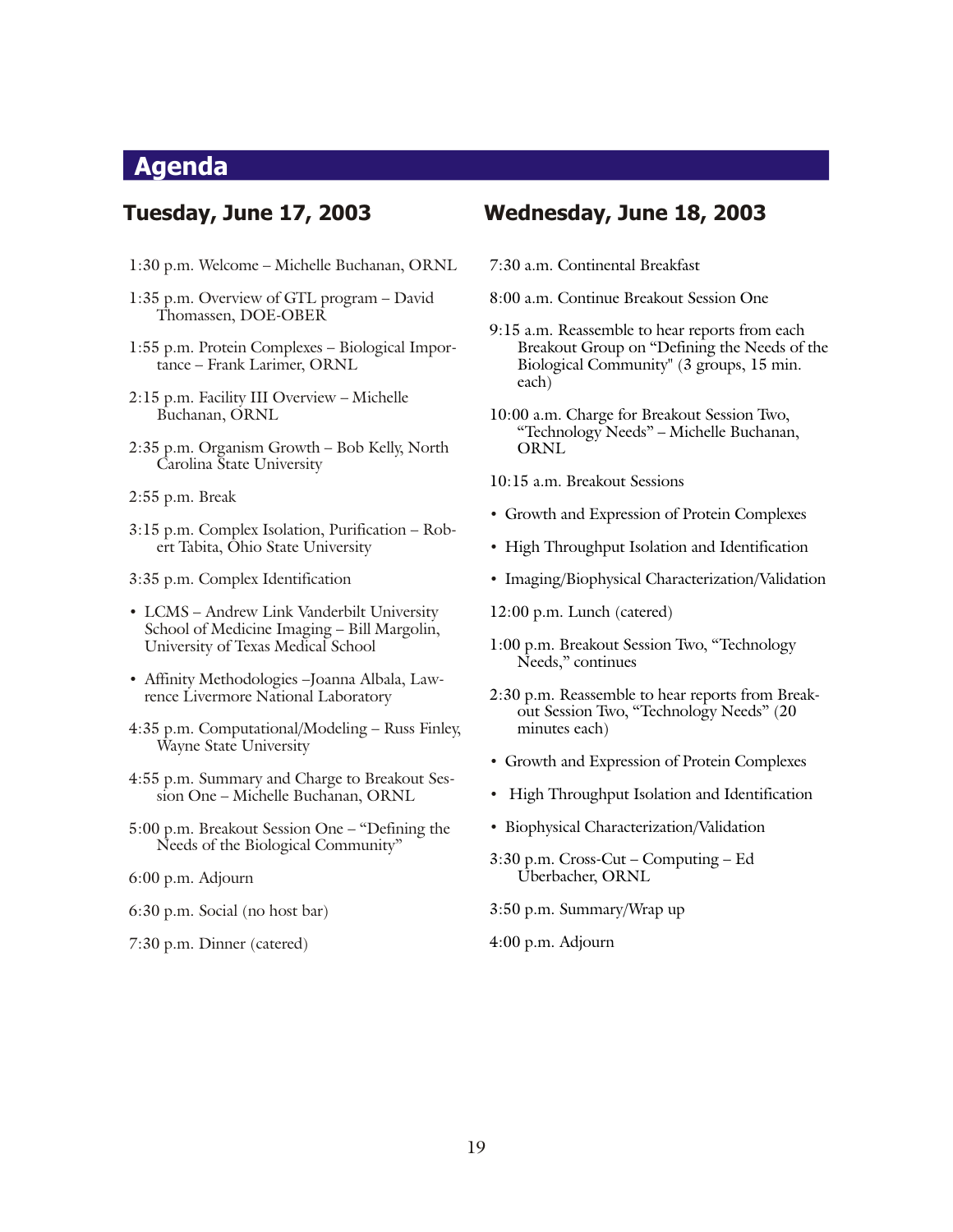## <span id="page-18-0"></span>**Agenda**

#### **Tuesday, June 17, 2003**

- 1:30 p.m. Welcome Michelle Buchanan, ORNL
- 1:35 p.m. Overview of GTL program David Thomassen, DOE-OBER
- 1:55 p.m. Protein Complexes Biological Importance – Frank Larimer, ORNL
- 2:15 p.m. Facility III Overview Michelle Buchanan, ORNL
- 2:35 p.m. Organism Growth Bob Kelly, North Carolina State University
- 2:55 p.m. Break
- 3:15 p.m. Complex Isolation, Purification Robert Tabita, Ohio State University
- 3:35 p.m. Complex Identification
- LCMS Andrew Link Vanderbilt University School of Medicine Imaging - Bill Margolin, University of Texas Medical School
- Affinity Methodologies –Joanna Albala, Lawrence Livermore National Laboratory
- 4:35 p.m. Computational/Modeling Russ Finley, Wayne State University
- 4:55 p.m. Summary and Charge to Breakout Session One – Michelle Buchanan, ORNL
- 5:00 p.m. Breakout Session One "Defining the Needs of the Biological Community"
- 6:00 p.m. Adjourn
- 6:30 p.m. Social (no host bar)
- 7:30 p.m. Dinner (catered)

#### **Wednesday, June 18, 2003**

- 7:30 a.m. Continental Breakfast
- 8:00 a.m. Continue Breakout Session One
- 9:15 a.m. Reassemble to hear reports from each Breakout Group on "Defining the Needs of the Biological Community" (3 groups, 15 min. each)
- 10:00 a.m. Charge for Breakout Session Two, "Technology Needs" – Michelle Buchanan, ORNL
- 10:15 a.m. Breakout Sessions
- Growth and Expression of Protein Complexes
- High Throughput Isolation and Identification
- Imaging/Biophysical Characterization/Validation
- 12:00 p.m. Lunch (catered)
- 1:00 p.m. Breakout Session Two, "Technology Needs," continues
- 2:30 p.m. Reassemble to hear reports from Breakout Session Two, "Technology Needs" (20 minutes each)
- Growth and Expression of Protein Complexes
- High Throughput Isolation and Identification
- Biophysical Characterization/Validation
- $3:30$  p.m. Cross-Cut Computing Ed Uberbacher, ORNL
- 3:50 p.m. Summary/Wrap up
- 4:00 p.m. Adjourn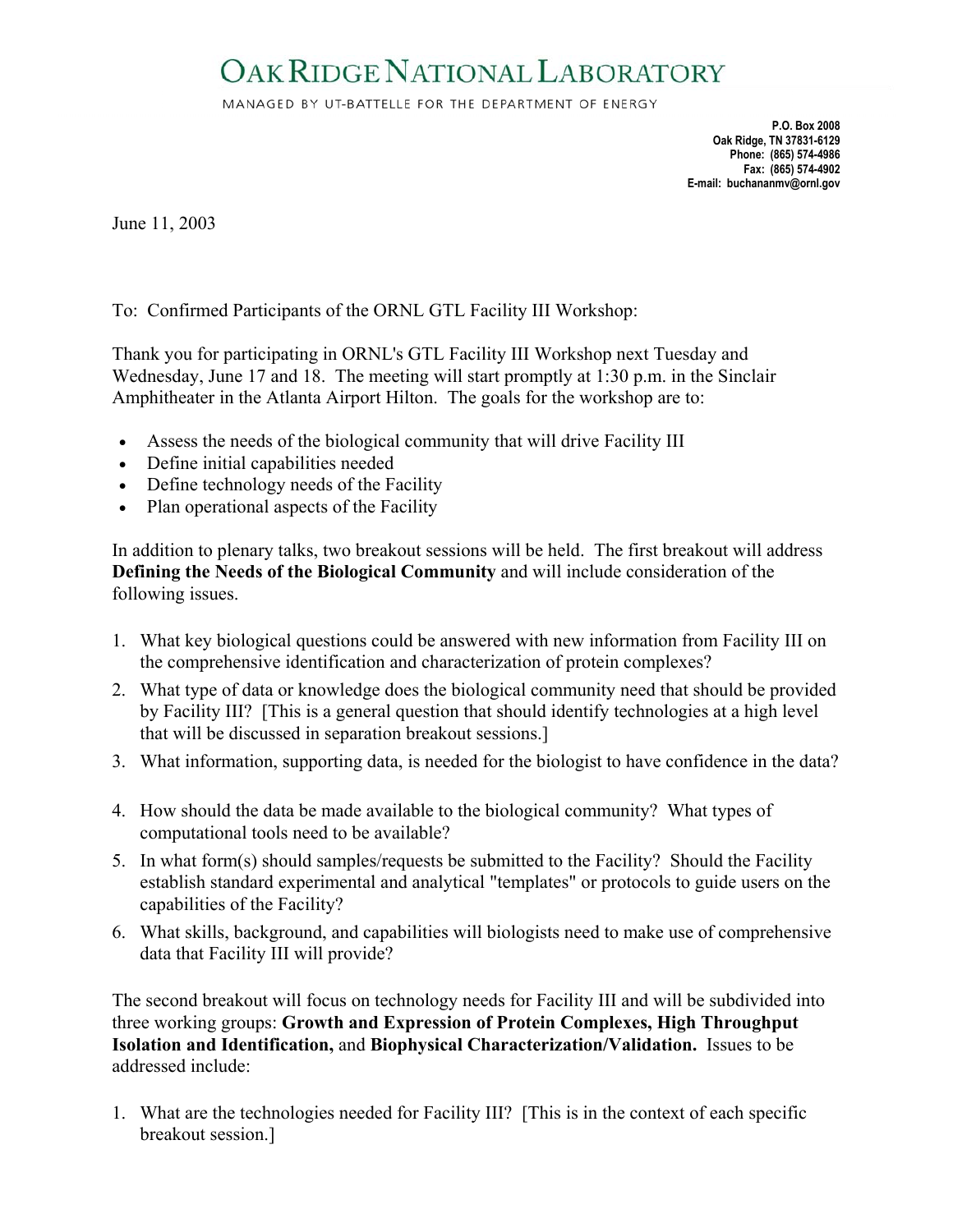## <span id="page-19-0"></span>OAK RIDGE NATIONAL LABORATORY

MANAGED BY UT-BATTELLE FOR THE DEPARTMENT OF ENERGY

**P.O. Box 2008 Oak Ridge, TN 37831-6129 Phone: (865) 574-4986 Fax: (865) 574-4902 E-mail: buchananmv@ornl.gov** 

June 11, 2003

#### To: Confirmed Participants of the ORNL GTL Facility III Workshop:

Thank you for participating in ORNL's GTL Facility III Workshop next Tuesday and Wednesday, June 17 and 18. The meeting will start promptly at 1:30 p.m. in the Sinclair Amphitheater in the Atlanta Airport Hilton. The goals for the workshop are to:

- Assess the needs of the biological community that will drive Facility III
- Define initial capabilities needed
- Define technology needs of the Facility
- Plan operational aspects of the Facility

In addition to plenary talks, two breakout sessions will be held. The first breakout will address **Defining the Needs of the Biological Community** and will include consideration of the following issues.

- 1. What key biological questions could be answered with new information from Facility III on the comprehensive identification and characterization of protein complexes?
- 2. What type of data or knowledge does the biological community need that should be provided by Facility III? [This is a general question that should identify technologies at a high level that will be discussed in separation breakout sessions.]
- 3. What information, supporting data, is needed for the biologist to have confidence in the data?
- 4. How should the data be made available to the biological community? What types of computational tools need to be available?
- 5. In what form(s) should samples/requests be submitted to the Facility? Should the Facility establish standard experimental and analytical "templates" or protocols to guide users on the capabilities of the Facility?
- 6. What skills, background, and capabilities will biologists need to make use of comprehensive data that Facility III will provide?

The second breakout will focus on technology needs for Facility III and will be subdivided into three working groups: **Growth and Expression of Protein Complexes, High Throughput Isolation and Identification,** and **Biophysical Characterization/Validation.** Issues to be addressed include:

1. What are the technologies needed for Facility III? [This is in the context of each specific breakout session.]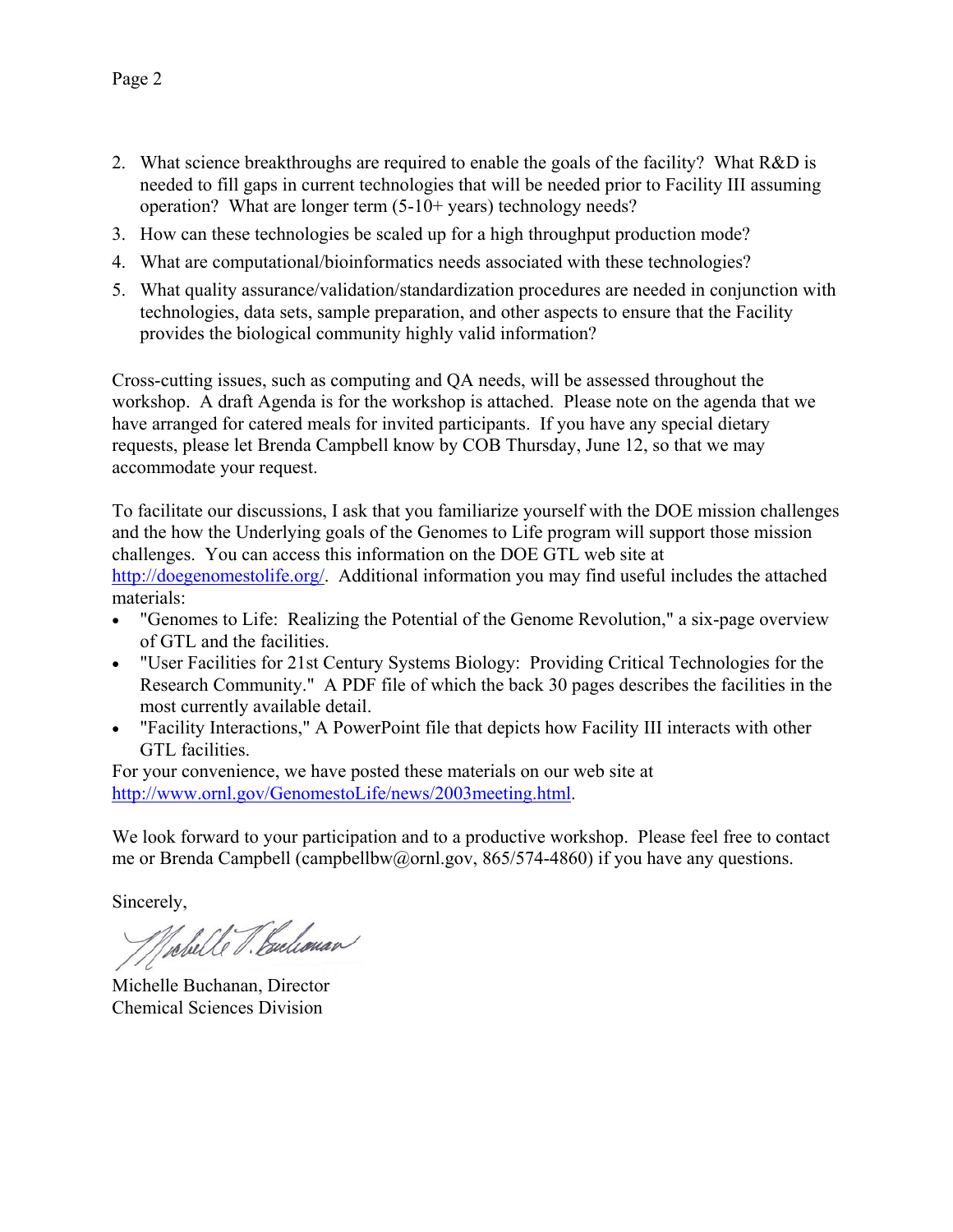- 2. What science breakthroughs are required to enable the goals of the facility? What R&D is needed to fill gaps in current technologies that will be needed prior to Facility III assuming operation? What are longer term (5-10+ years) technology needs?
- 3. How can these technologies be scaled up for a high throughput production mode?
- 4. What are computational/bioinformatics needs associated with these technologies?
- 5. What quality assurance/validation/standardization procedures are needed in conjunction with technologies, data sets, sample preparation, and other aspects to ensure that the Facility provides the biological community highly valid information?

Cross-cutting issues, such as computing and QA needs, will be assessed throughout the workshop. A draft Agenda is for the workshop is attached. Please note on the agenda that we have arranged for catered meals for invited participants. If you have any special dietary requests, please let Brenda Campbell know by COB Thursday, June 12, so that we may accommodate your request.

To facilitate our discussions, I ask that you familiarize yourself with the DOE mission challenges and the how the Underlying goals of the Genomes to Life program will support those mission challenges. You can access this information on the DOE GTL web site at [http://doegenomestolife.org/.](http://doegenomestolife.org/) Additional information you may find useful includes the attached materials:

- "Genomes to Life: Realizing the Potential of the Genome Revolution," a six-page overview of GTL and the facilities.
- "User Facilities for 21st Century Systems Biology: Providing Critical Technologies for the Research Community." A PDF file of which the back 30 pages describes the facilities in the most currently available detail.
- "Facility Interactions," A PowerPoint file that depicts how Facility III interacts with other GTL facilities.

For your convenience, we have posted these materials on our web site at [http://www.ornl.gov/GenomestoLife/news/2003meeting.html.](http://www.ornl.gov/GenomestoLife/news/2003meeting.html)

We look forward to your participation and to a productive workshop. Please feel free to contact me or Brenda Campbell (campbellbw@ornl.gov, 865/574-4860) if you have any questions.

Sincerely,

Vobelle V. Euclionar

Michelle Buchanan, Director Chemical Sciences Division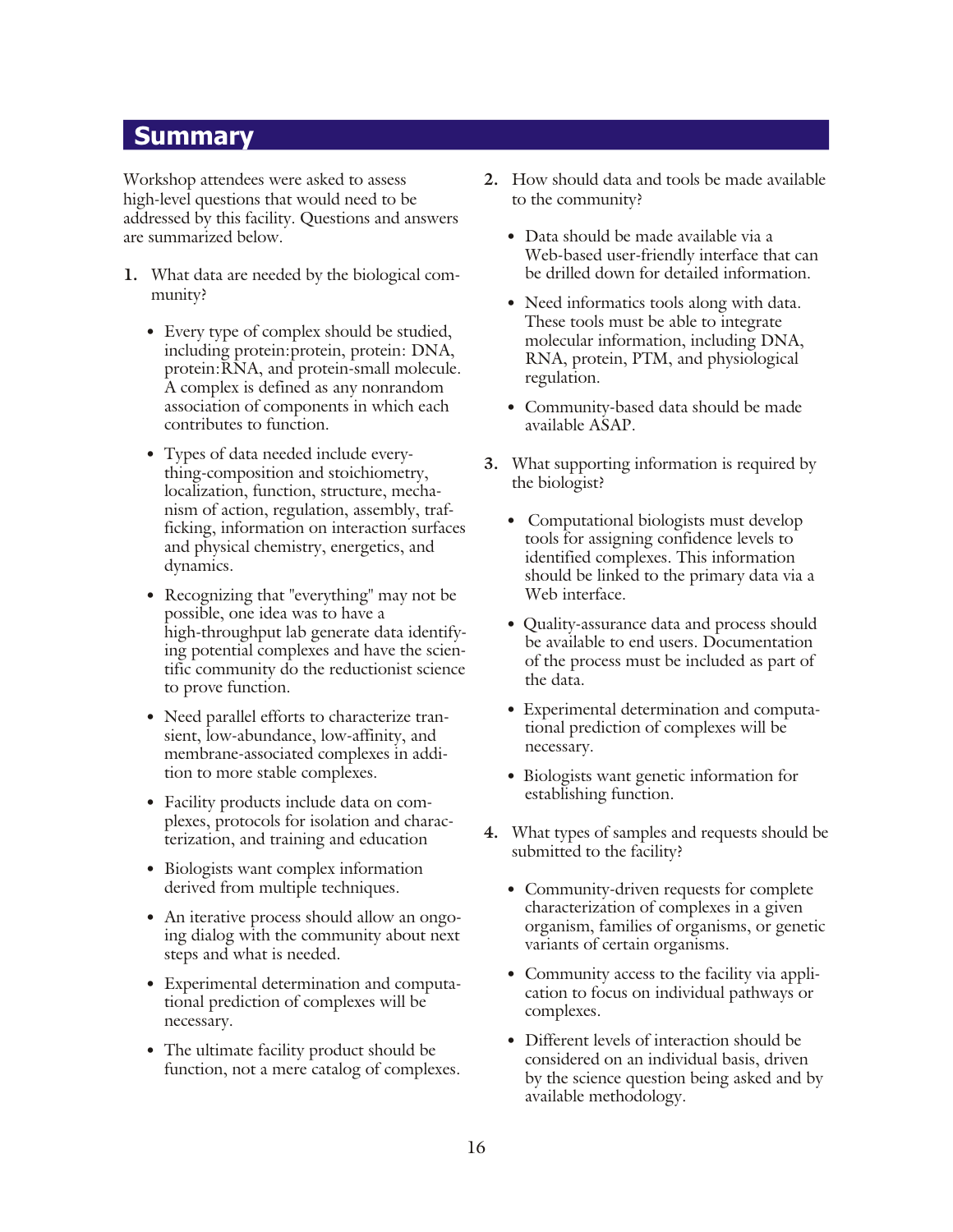#### <span id="page-21-0"></span>**Summary**

Workshop attendees were asked to assess high-level questions that would need to be addressed by this facility. Questions and answers are summarized below.

- **1.** What data are needed by the biological community?
	- Every type of complex should be studied, including protein: protein, protein: DNA, protein: RNA, and protein-small molecule. A complex is defined as any nonrandom association of components in which each contributes to function.
	- Types of data needed include everything-composition and stoichiometry, localization, function, structure, mechanism of action, regulation, assembly, trafficking, information on interaction surfaces and physical chemistry, energetics, and dynamics.
	- Recognizing that "everything" may not be possible, one idea was to have a high-throughput lab generate data identifying potential complexes and have the scientific community do the reductionist science to prove function.
	- Need parallel efforts to characterize transient, low-abundance, low-affinity, and membrane-associated complexes in addition to more stable complexes.
	- Facility products include data on complexes, protocols for isolation and characterization, and training and education
	- Biologists want complex information derived from multiple techniques.
	- An iterative process should allow an ongoing dialog with the community about next steps and what is needed.
	- Experimental determination and computational prediction of complexes will be necessary.
	- The ultimate facility product should be function, not a mere catalog of complexes.
- 2. How should data and tools be made available to the community?
	- Data should be made available via a Web-based user-friendly interface that can be drilled down for detailed information.
	- Need informatics tools along with data. These tools must be able to integrate molecular information, including DNA, RNA, protein, PTM, and physiological regulation.
	- Community-based data should be made available ASAP.
- **3.** What supporting information is required by the biologist?
	- Computational biologists must develop tools for assigning confidence levels to identified complexes. This information should be linked to the primary data via a Web interface.
	- Quality-assurance data and process should be available to end users. Documentation of the process must be included as part of the data.
	- Experimental determination and computational prediction of complexes will be necessary.
	- Biologists want genetic information for establishing function.
- **4.** What types of samples and requests should be sub mitted to the facility?
	- Community-driven requests for complete characterization of complexes in a given organism, families of organisms, or genetic variants of certain organisms.
	- Community access to the facility via application to focus on individual pathways or complexes.
	- Different levels of interaction should be considered on an individual basis, driven by the science question being asked and by available methodology.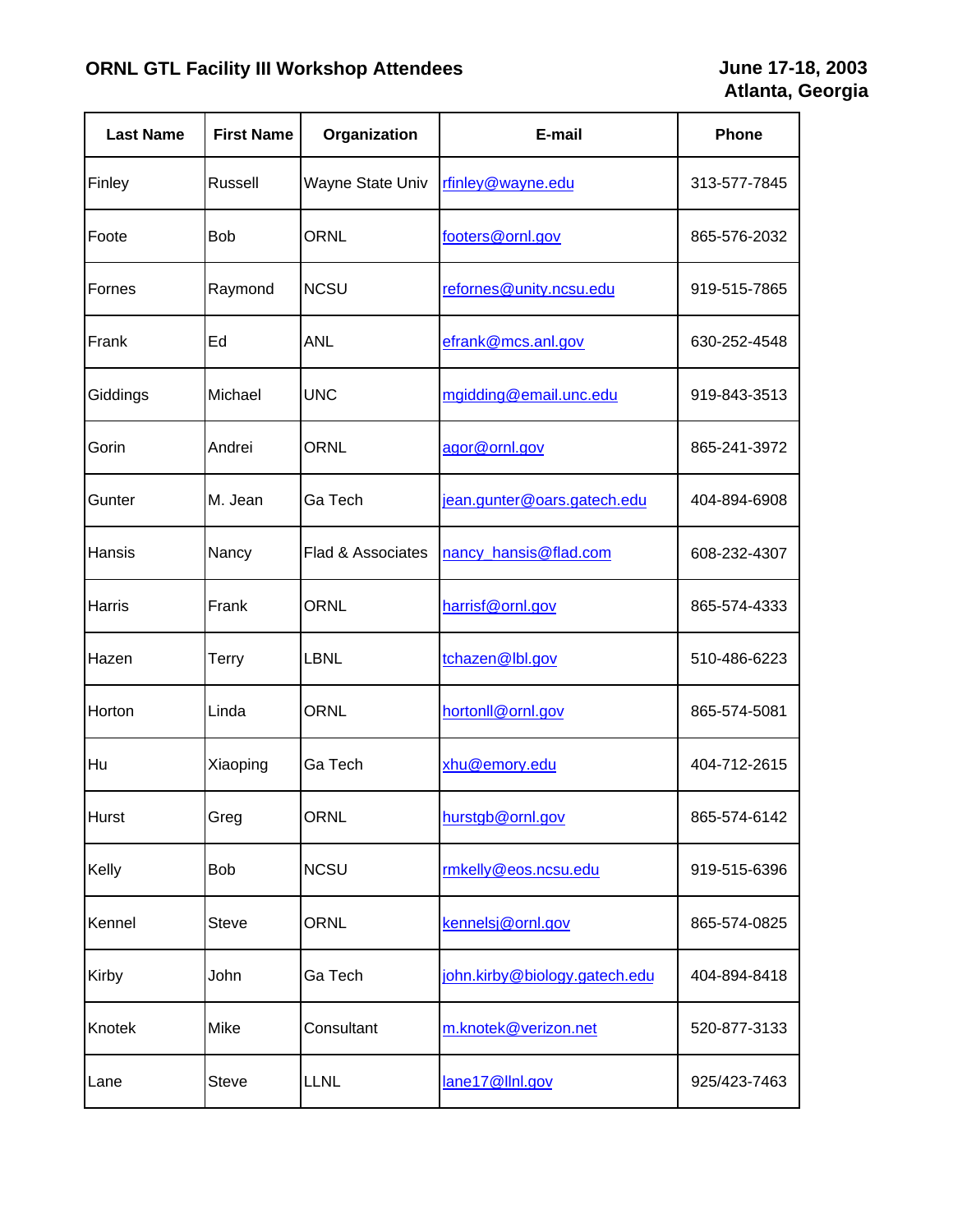| <b>Last Name</b> | <b>First Name</b> | Organization                 | E-mail                        | Phone        |
|------------------|-------------------|------------------------------|-------------------------------|--------------|
| Finley           | Russell           | Wayne State Univ             | rfinley@wayne.edu             | 313-577-7845 |
| Foote            | <b>Bob</b>        | <b>ORNL</b>                  | footers@ornl.gov              | 865-576-2032 |
| Fornes           | Raymond           | <b>NCSU</b>                  | refornes@unity.ncsu.edu       | 919-515-7865 |
| Frank            | Ed                | ANL                          | efrank@mcs.anl.gov            | 630-252-4548 |
| Giddings         | Michael           | <b>UNC</b>                   | mgidding@email.unc.edu        | 919-843-3513 |
| Gorin            | Andrei            | ORNL                         | agor@ornl.gov                 | 865-241-3972 |
| Gunter           | M. Jean           | Ga Tech                      | jean.gunter@oars.gatech.edu   | 404-894-6908 |
| Hansis           | Nancy             | <b>Flad &amp; Associates</b> | nancy_hansis@flad.com         | 608-232-4307 |
| Harris           | Frank             | <b>ORNL</b>                  | harrisf@ornl.gov              | 865-574-4333 |
| Hazen            | Terry             | LBNL                         | tchazen@lbl.gov               | 510-486-6223 |
| Horton           | Linda             | <b>ORNL</b>                  | hortonll@ornl.gov             | 865-574-5081 |
| Hu               | Xiaoping          | Ga Tech                      | xhu@emory.edu                 | 404-712-2615 |
| Hurst            | Greg              | ORNL                         | hurstgb@ornl.gov              | 865-574-6142 |
| Kelly            | Bob               | <b>NCSU</b>                  | rmkelly@eos.ncsu.edu          | 919-515-6396 |
| Kennel           | <b>Steve</b>      | ORNL                         | kennelsj@ornl.gov             | 865-574-0825 |
| Kirby            | John              | Ga Tech                      | john.kirby@biology.gatech.edu | 404-894-8418 |
| Knotek           | Mike              | Consultant                   | m.knotek@verizon.net          | 520-877-3133 |
| Lane             | <b>Steve</b>      | LLNL                         | lane17@llnl.gov               | 925/423-7463 |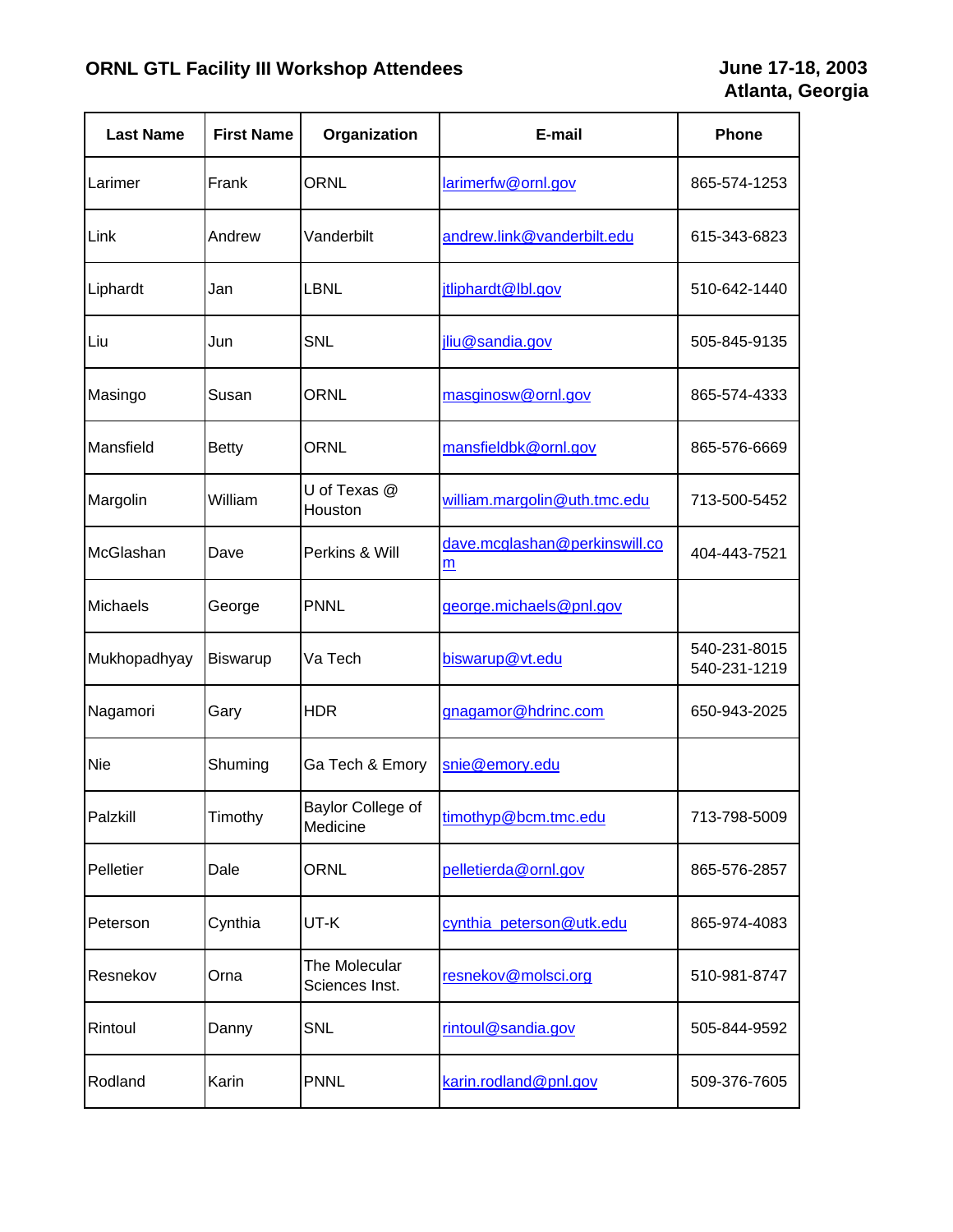| <b>Last Name</b> | <b>First Name</b> | Organization                    | E-mail                             | Phone                        |
|------------------|-------------------|---------------------------------|------------------------------------|------------------------------|
| Larimer          | Frank             | ORNL                            | larimerfw@ornl.gov                 | 865-574-1253                 |
| Link             | Andrew            | Vanderbilt                      | andrew.link@vanderbilt.edu         | 615-343-6823                 |
| Liphardt         | Jan               | <b>LBNL</b>                     | jtliphardt@lbl.gov                 | 510-642-1440                 |
| Liu              | Jun               | <b>SNL</b>                      | jliu@sandia.gov                    | 505-845-9135                 |
| Masingo          | Susan             | ORNL                            | masginosw@ornl.gov                 | 865-574-4333                 |
| Mansfield        | <b>Betty</b>      | <b>ORNL</b>                     | mansfieldbk@ornl.gov               | 865-576-6669                 |
| Margolin         | William           | U of Texas @<br>Houston         | william.margolin@uth.tmc.edu       | 713-500-5452                 |
| McGlashan        | Dave              | Perkins & Will                  | dave.mcglashan@perkinswill.co<br>m | 404-443-7521                 |
| Michaels         | George            | <b>PNNL</b>                     | george.michaels@pnl.gov            |                              |
| Mukhopadhyay     | Biswarup          | Va Tech                         | biswarup@vt.edu                    | 540-231-8015<br>540-231-1219 |
| Nagamori         | Gary              | <b>HDR</b>                      | gnagamor@hdrinc.com                | 650-943-2025                 |
| Nie              | Shuming           | Ga Tech & Emory                 | snie@emory.edu                     |                              |
| Palzkill         | Timothy           | Baylor College of<br>Medicine   | timothyp@bcm.tmc.edu               | 713-798-5009                 |
| Pelletier        | Dale              | <b>ORNL</b>                     | pelletierda@ornl.gov               | 865-576-2857                 |
| Peterson         | Cynthia           | UT-K                            | cynthia_peterson@utk.edu           | 865-974-4083                 |
| Resnekov         | Orna              | The Molecular<br>Sciences Inst. | resnekov@molsci.org                | 510-981-8747                 |
| Rintoul          | Danny             | <b>SNL</b>                      | rintoul@sandia.gov                 | 505-844-9592                 |
| Rodland          | Karin             | <b>PNNL</b>                     | karin.rodland@pnl.gov              | 509-376-7605                 |